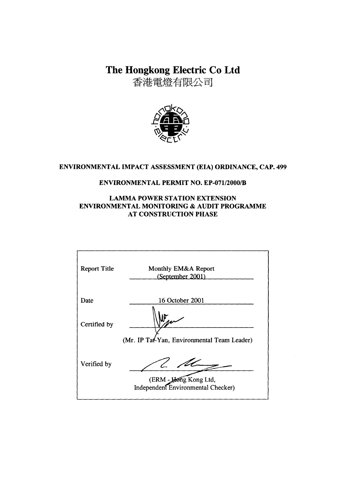The Hongkong Electric Co Ltd

香港電燈有限公司



#### ENVIRONMENTAL IMPACT ASSESSMENT (EIA) ORDINANCE, CAP. 499

## **ENVIRONMENTAL PERMIT NO. EP-071/2000/B**

#### **LAMMA POWER STATION EXTENSION** ENVIRONMENTAL MONITORING & AUDIT PROGRAMME **AT CONSTRUCTION PHASE**

| <b>Report Title</b> | Monthly EM&A Report<br>(September 2001)                     |
|---------------------|-------------------------------------------------------------|
| Date                | 16 October 2001                                             |
| Certified by        | (Mr. IP Tat-Yan, Environmental Team Leader)                 |
| Verified by         | (ERM - Hong Kong Ltd,<br>Independent Environmental Checker) |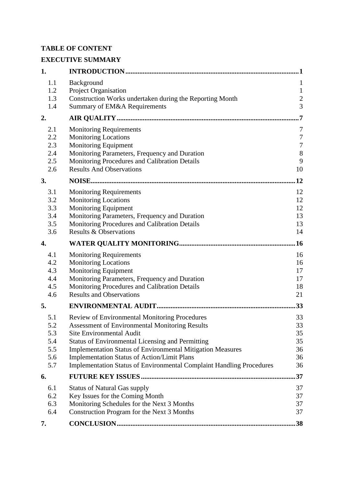# **TABLE OF CONTENT**

# **EXECUTIVE SUMMARY**

| 1.         |                                                                                          | 1                                |
|------------|------------------------------------------------------------------------------------------|----------------------------------|
| 1.1        | Background                                                                               | $\mathbf{1}$                     |
| 1.2        | Project Organisation                                                                     | $\mathbf{1}$                     |
| 1.3<br>1.4 | Construction Works undertaken during the Reporting Month<br>Summary of EM&A Requirements | $\overline{c}$<br>$\overline{3}$ |
| 2.         |                                                                                          | 7                                |
| 2.1        | <b>Monitoring Requirements</b>                                                           | 7                                |
| 2.2        | <b>Monitoring Locations</b>                                                              | $\boldsymbol{7}$                 |
| 2.3        | Monitoring Equipment                                                                     | $\boldsymbol{7}$                 |
| 2.4        | Monitoring Parameters, Frequency and Duration                                            | $\,8\,$                          |
| 2.5        | Monitoring Procedures and Calibration Details<br><b>Results And Observations</b>         | 9<br>10                          |
| 2.6        |                                                                                          | 12                               |
| 3.         |                                                                                          |                                  |
| 3.1        | <b>Monitoring Requirements</b>                                                           | 12                               |
| 3.2<br>3.3 | <b>Monitoring Locations</b><br>Monitoring Equipment                                      | 12<br>12                         |
| 3.4        | Monitoring Parameters, Frequency and Duration                                            | 13                               |
| 3.5        | Monitoring Procedures and Calibration Details                                            | 13                               |
| 3.6        | <b>Results &amp; Observations</b>                                                        | 14                               |
| 4.         |                                                                                          | .16                              |
| 4.1        | <b>Monitoring Requirements</b>                                                           | 16                               |
| 4.2        | <b>Monitoring Locations</b>                                                              | 16                               |
| 4.3        | <b>Monitoring Equipment</b>                                                              | 17                               |
| 4.4        | Monitoring Parameters, Frequency and Duration                                            | 17                               |
| 4.5<br>4.6 | Monitoring Procedures and Calibration Details<br><b>Results and Observations</b>         | 18<br>21                         |
| 5.         |                                                                                          | 33                               |
|            |                                                                                          |                                  |
| 5.1        | Review of Environmental Monitoring Procedures                                            | 33                               |
| 5.2<br>5.3 | <b>Assessment of Environmental Monitoring Results</b><br><b>Site Environmental Audit</b> | 33<br>35                         |
| 5.4        | <b>Status of Environmental Licensing and Permitting</b>                                  | 35                               |
| 5.5        | <b>Implementation Status of Environmental Mitigation Measures</b>                        | 36                               |
| 5.6        | <b>Implementation Status of Action/Limit Plans</b>                                       | 36                               |
| 5.7        | <b>Implementation Status of Environmental Complaint Handling Procedures</b>              | 36                               |
| 6.         |                                                                                          | 37                               |
| 6.1        | <b>Status of Natural Gas supply</b>                                                      | 37                               |
| 6.2        | Key Issues for the Coming Month                                                          | 37                               |
| 6.3        | Monitoring Schedules for the Next 3 Months                                               | 37                               |
| 6.4        | Construction Program for the Next 3 Months                                               | 37                               |
| 7.         |                                                                                          | .38                              |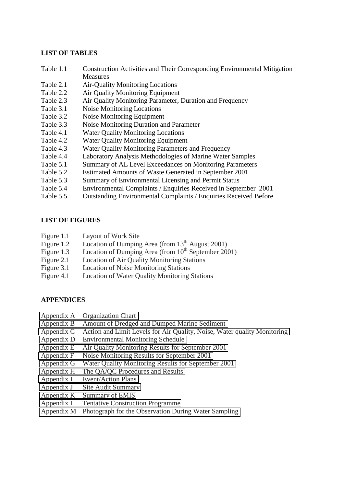#### **LIST OF TABLES**

- Table 1.1 Construction Activities and Their Corresponding Environmental Mitigation Measures
- Table 2.1 Air-Quality Monitoring Locations
- Table 2.2 Air Quality Monitoring Equipment
- Table 2.3 Air Quality Monitoring Parameter, Duration and Frequency
- Table 3.1 Noise Monitoring Locations
- Table 3.2 Noise Monitoring Equipment
- Table 3.3 Noise Monitoring Duration and Parameter
- Table 4.1 Water Quality Monitoring Locations
- Table 4.2 Water Quality Monitoring Equipment
- Table 4.3 Water Quality Monitoring Parameters and Frequency
- Table 4.4 Laboratory Analysis Methodologies of Marine Water Samples
- Table 5.1 Summary of AL Level Exceedances on Monitoring Parameters
- Table 5.2 Estimated Amounts of Waste Generated in September 2001
- Table 5.3 Summary of Environmental Licensing and Permit Status
- Table 5.4 Environmental Complaints / Enquiries Received in September 2001
- Table 5.5 Outstanding Environmental Complaints / Enquiries Received Before

#### **LIST OF FIGURES**

- Figure 1.1 Layout of Work Site
- Figure 1.2 Location of Dumping Area (from  $13<sup>th</sup>$  August 2001)
- Figure 1.3 Location of Dumping Area (from  $10^{th}$  September 2001)
- Figure 2.1 Location of Air Quality Monitoring Stations
- Figure 3.1 Location of Noise Monitoring Stations
- Figure 4.1 Location of Water Quality Monitoring Stations

#### **APPENDICES**

- Appendix A Organization Chart
- Appendix B Amount of Dredged and Dumped Marine Sediment
- Appendix C Action and Limit Levels for Air Quality, Noise, Water quality Monitoring
- Appendix D Environmental Monitoring Schedule
- Appendix E Air Quality Monitoring Results for September 2001
- Appendix F Noise Monitoring Results for September 2001
- Appendix G Water Quality Monitoring Results for September 2001
- Appendix H The QA/QC Procedures and Results
- Appendix I Event/Action Plans
- Appendix J Site Audit Summary
- Appendix K Summary of EMIS
- Appendix L Tentative Construction Programme
- Appendix M Photograph for the Observation During Water Sampling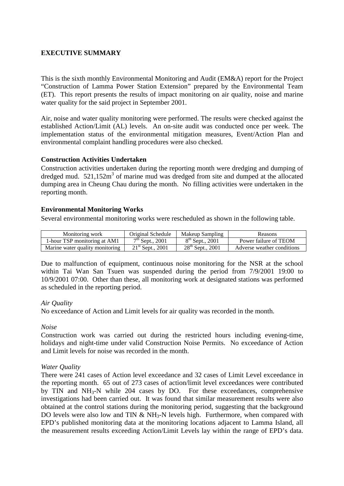#### **EXECUTIVE SUMMARY**

This is the sixth monthly Environmental Monitoring and Audit (EM&A) report for the Project "Construction of Lamma Power Station Extension" prepared by the Environmental Team (ET). This report presents the results of impact monitoring on air quality, noise and marine water quality for the said project in September 2001.

Air, noise and water quality monitoring were performed. The results were checked against the established Action/Limit (AL) levels. An on-site audit was conducted once per week. The implementation status of the environmental mitigation measures, Event/Action Plan and environmental complaint handling procedures were also checked.

#### **Construction Activities Undertaken**

Construction activities undertaken during the reporting month were dredging and dumping of dredged mud.  $521,152m^3$  of marine mud was dredged from site and dumped at the allocated dumping area in Cheung Chau during the month. No filling activities were undertaken in the reporting month.

#### **Environmental Monitoring Works**

Several environmental monitoring works were rescheduled as shown in the following table.

| Monitoring work                 | Original Schedule            | Makeup Sampling       | Reasons                    |
|---------------------------------|------------------------------|-----------------------|----------------------------|
| 1-hour TSP monitoring at AM1    | $7th$ Sept., 2001            | $8^{th}$ Sept., 2001  | Power failure of TEOM      |
| Marine water quality monitoring | $21^{\text{st}}$ Sept., 2001 | $28^{th}$ Sept., 2001 | Adverse weather conditions |

Due to malfunction of equipment, continuous noise monitoring for the NSR at the school within Tai Wan San Tsuen was suspended during the period from 7/9/2001 19:00 to 10/9/2001 07:00. Other than these, all monitoring work at designated stations was performed as scheduled in the reporting period.

#### *Air Quality*

No exceedance of Action and Limit levels for air quality was recorded in the month.

#### *Noise*

Construction work was carried out during the restricted hours including evening-time, holidays and night-time under valid Construction Noise Permits. No exceedance of Action and Limit levels for noise was recorded in the month.

#### *Water Quality*

There were 241 cases of Action level exceedance and 32 cases of Limit Level exceedance in the reporting month. 65 out of 273 cases of action/limit level exceedances were contributed by TIN and  $NH<sub>3</sub>-N$  while 204 cases by DO. For these exceedances, comprehensive investigations had been carried out. It was found that similar measurement results were also obtained at the control stations during the monitoring period, suggesting that the background DO levels were also low and TIN  $&$  NH<sub>3</sub>-N levels high. Furthermore, when compared with EPD's published monitoring data at the monitoring locations adjacent to Lamma Island, all the measurement results exceeding Action/Limit Levels lay within the range of EPD's data.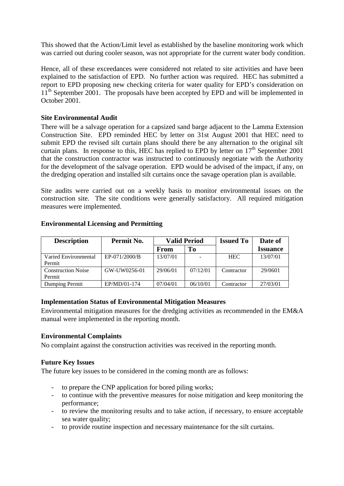This showed that the Action/Limit level as established by the baseline monitoring work which was carried out during cooler season, was not appropriate for the current water body condition.

Hence, all of these exceedances were considered not related to site activities and have been explained to the satisfaction of EPD. No further action was required. HEC has submitted a report to EPD proposing new checking criteria for water quality for EPD's consideration on  $11<sup>th</sup>$  September 2001. The proposals have been accepted by EPD and will be implemented in October 2001.

#### **Site Environmental Audit**

There will be a salvage operation for a capsized sand barge adjacent to the Lamma Extension Construction Site. EPD reminded HEC by letter on 31st August 2001 that HEC need to submit EPD the revised silt curtain plans should there be any alternation to the original silt curtain plans. In response to this, HEC has replied to EPD by letter on  $17<sup>th</sup>$  September 2001 that the construction contractor was instructed to continuously negotiate with the Authority for the development of the salvage operation. EPD would be advised of the impact, if any, on the dredging operation and installed silt curtains once the savage operation plan is available*.*

Site audits were carried out on a weekly basis to monitor environmental issues on the construction site. The site conditions were generally satisfactory. All required mitigation measures were implemented.

| <b>Description</b>                  | Permit No.    | <b>Valid Period</b> |          | <b>Issued To</b> | Date of         |
|-------------------------------------|---------------|---------------------|----------|------------------|-----------------|
|                                     |               | From                | To       |                  | <b>Issuance</b> |
| Varied Environmental<br>Permit      | EP-071/2000/B | 13/07/01            |          | <b>HEC</b>       | 13/07/01        |
| <b>Construction Noise</b><br>Permit | GW-UW0256-01  | 29/06/01            | 07/12/01 | Contractor       | 29/0601         |
| Dumping Permit                      | EP/MD/01-174  | 07/04/01            | 06/10/01 | Contractor       | 27/03/01        |

#### **Environmental Licensing and Permitting**

#### **Implementation Status of Environmental Mitigation Measures**

Environmental mitigation measures for the dredging activities as recommended in the EM&A manual were implemented in the reporting month.

#### **Environmental Complaints**

No complaint against the construction activities was received in the reporting month.

#### **Future Key Issues**

The future key issues to be considered in the coming month are as follows:

- to prepare the CNP application for bored piling works;
- to continue with the preventive measures for noise mitigation and keep monitoring the performance;
- to review the monitoring results and to take action, if necessary, to ensure acceptable sea water quality;
- to provide routine inspection and necessary maintenance for the silt curtains.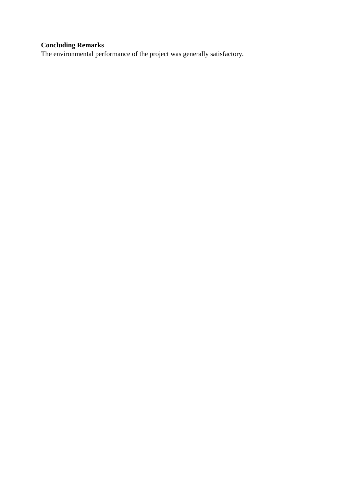# **Concluding Remarks**

The environmental performance of the project was generally satisfactory.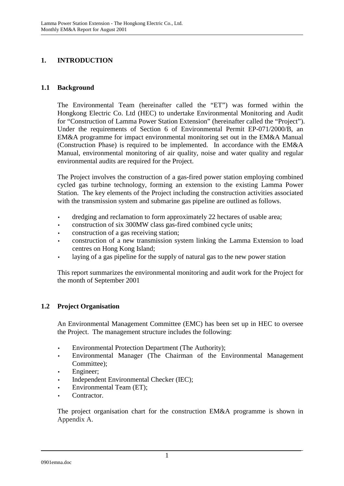# **1. INTRODUCTION**

#### **1.1 Background**

The Environmental Team (hereinafter called the "ET") was formed within the Hongkong Electric Co. Ltd (HEC) to undertake Environmental Monitoring and Audit for "Construction of Lamma Power Station Extension" (hereinafter called the "Project"). Under the requirements of Section 6 of Environmental Permit EP-071/2000/B, an EM&A programme for impact environmental monitoring set out in the EM&A Manual (Construction Phase) is required to be implemented. In accordance with the EM&A Manual, environmental monitoring of air quality, noise and water quality and regular environmental audits are required for the Project.

The Project involves the construction of a gas-fired power station employing combined cycled gas turbine technology, forming an extension to the existing Lamma Power Station. The key elements of the Project including the construction activities associated with the transmission system and submarine gas pipeline are outlined as follows.

- dredging and reclamation to form approximately 22 hectares of usable area;
- construction of six 300MW class gas-fired combined cycle units;
- construction of a gas receiving station;
- construction of a new transmission system linking the Lamma Extension to load centres on Hong Kong Island;
- laying of a gas pipeline for the supply of natural gas to the new power station

This report summarizes the environmental monitoring and audit work for the Project for the month of September 2001

#### **1.2 Project Organisation**

An Environmental Management Committee (EMC) has been set up in HEC to oversee the Project. The management structure includes the following:

- Environmental Protection Department (The Authority);
- Environmental Manager (The Chairman of the Environmental Management Committee);
- Engineer:
- Independent Environmental Checker (IEC);
- Environmental Team (ET);
- Contractor.

The project organisation chart for the construction EM&A programme is shown in Appendix A.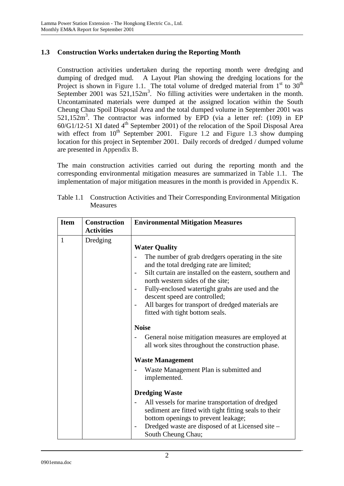## **1.3 Construction Works undertaken during the Reporting Month**

Construction activities undertaken during the reporting month were dredging and dumping of dredged mud. A Layout Plan showing the dredging locations for the Project is shown in Figure 1.1. The total volume of dredged material from  $1<sup>st</sup>$  to  $30<sup>th</sup>$ September 2001 was  $521,152m^3$ . No filling activities were undertaken in the month. Uncontaminated materials were dumped at the assigned location within the South Cheung Chau Spoil Disposal Area and the total dumped volume in September 2001 was 521,152m<sup>3</sup>. The contractor was informed by EPD (via a letter ref: (109) in EP  $60/G1/12-51$  XI dated  $4<sup>th</sup>$  September 2001) of the relocation of the Spoil Disposal Area with effect from  $10^{th}$  September 2001. Figure 1.2 and Figure 1.3 show dumping location for this project in September 2001. Daily records of dredged / dumped volume are presented in Appendix B.

The main construction activities carried out during the reporting month and the corresponding environmental mitigation measures are summarized in Table 1.1. The implementation of major mitigation measures in the month is provided in Appendix K.

| <b>Item</b> | <b>Construction</b><br><b>Activities</b> | <b>Environmental Mitigation Measures</b>                                                                                                                                                                                                                                                                                                                                                                                                                                                                                                                                                                         |
|-------------|------------------------------------------|------------------------------------------------------------------------------------------------------------------------------------------------------------------------------------------------------------------------------------------------------------------------------------------------------------------------------------------------------------------------------------------------------------------------------------------------------------------------------------------------------------------------------------------------------------------------------------------------------------------|
| 1           | Dredging                                 | <b>Water Quality</b><br>The number of grab dredgers operating in the site<br>and the total dredging rate are limited;<br>Silt curtain are installed on the eastern, southern and<br>north western sides of the site;<br>Fully-enclosed watertight grabs are used and the<br>descent speed are controlled;<br>All barges for transport of dredged materials are<br>fitted with tight bottom seals.<br><b>Noise</b><br>General noise mitigation measures are employed at<br>all work sites throughout the construction phase.<br><b>Waste Management</b><br>Waste Management Plan is submitted and<br>implemented. |
|             |                                          | <b>Dredging Waste</b><br>All vessels for marine transportation of dredged<br>sediment are fitted with tight fitting seals to their<br>bottom openings to prevent leakage;<br>Dredged waste are disposed of at Licensed site -<br>South Cheung Chau;                                                                                                                                                                                                                                                                                                                                                              |

Table 1.1 Construction Activities and Their Corresponding Environmental Mitigation Measures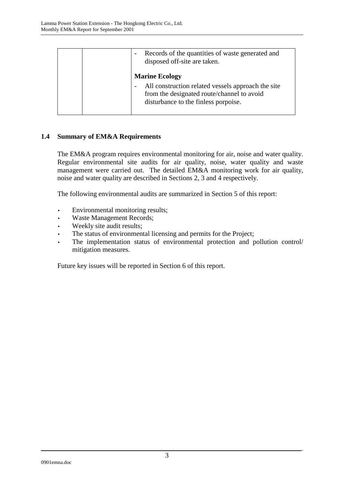| Records of the quantities of waste generated and<br>disposed off-site are taken.                                                                                  |
|-------------------------------------------------------------------------------------------------------------------------------------------------------------------|
| <b>Marine Ecology</b><br>All construction related vessels approach the site<br>from the designated route/channel to avoid<br>disturbance to the finless porpoise. |

# **1.4 Summary of EM&A Requirements**

The EM&A program requires environmental monitoring for air, noise and water quality. Regular environmental site audits for air quality, noise, water quality and waste management were carried out. The detailed EM&A monitoring work for air quality, noise and water quality are described in Sections 2, 3 and 4 respectively.

The following environmental audits are summarized in Section 5 of this report:

- Environmental monitoring results;
- Waste Management Records;
- Weekly site audit results;
- The status of environmental licensing and permits for the Project;
- The implementation status of environmental protection and pollution control/ mitigation measures.

Future key issues will be reported in Section 6 of this report.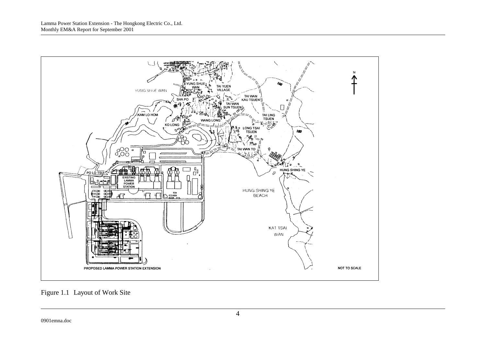

Figure 1.1 Layout of Work Site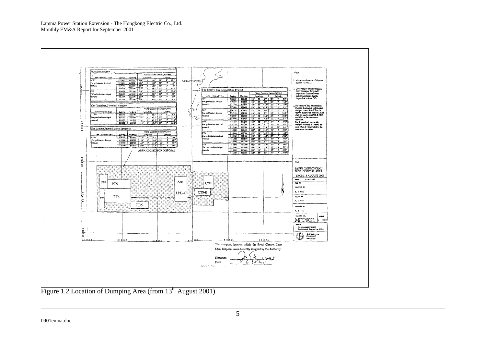Lamma Power Station Extension - The Hongkong Electric Co., Ltd. Monthly EM&A Report for September 2001



Figure 1.2 Location of Dumping Area (from 13<sup>th</sup> August 2001)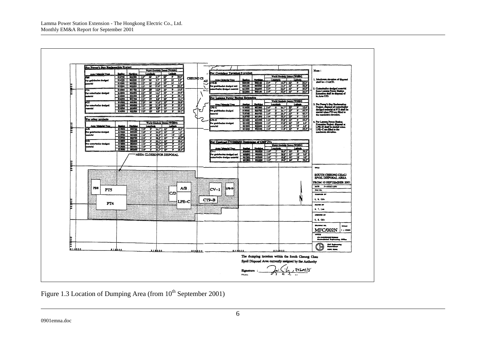

Figure 1.3 Location of Dumping Area (from 10<sup>th</sup> September 2001)

0901emna.doc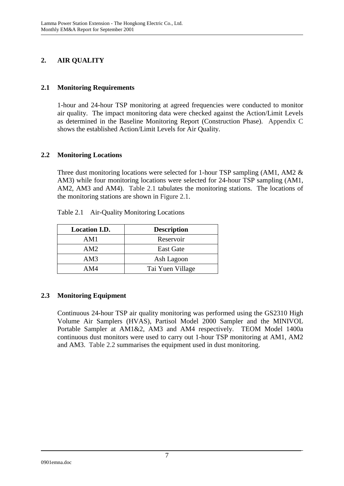# **2. AIR QUALITY**

## **2.1 Monitoring Requirements**

1-hour and 24-hour TSP monitoring at agreed frequencies were conducted to monitor air quality. The impact monitoring data were checked against the Action/Limit Levels as determined in the Baseline Monitoring Report (Construction Phase). Appendix C shows the established Action/Limit Levels for Air Quality.

#### **2.2 Monitoring Locations**

Three dust monitoring locations were selected for 1-hour TSP sampling (AM1, AM2 & AM3) while four monitoring locations were selected for 24-hour TSP sampling (AM1, AM2, AM3 and AM4). Table 2.1 tabulates the monitoring stations. The locations of the monitoring stations are shown in Figure 2.1.

| <b>Location I.D.</b> | <b>Description</b> |
|----------------------|--------------------|
| AM1                  | Reservoir          |
| AM2                  | <b>East Gate</b>   |
| AM3                  | Ash Lagoon         |
| AM4                  | Tai Yuen Village   |

Table 2.1 Air-Quality Monitoring Locations

# **2.3 Monitoring Equipment**

Continuous 24-hour TSP air quality monitoring was performed using the GS2310 High Volume Air Samplers (HVAS), Partisol Model 2000 Sampler and the MINIVOL Portable Sampler at AM1&2, AM3 and AM4 respectively. TEOM Model 1400a continuous dust monitors were used to carry out 1-hour TSP monitoring at AM1, AM2 and AM3. Table 2.2 summarises the equipment used in dust monitoring.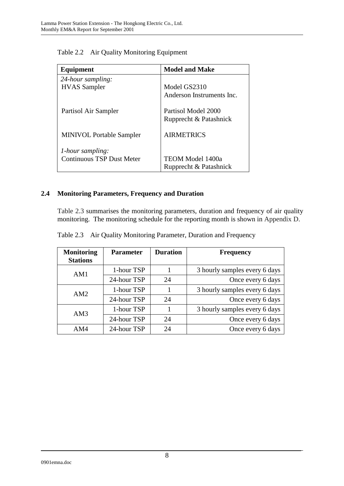| Equipment                        | <b>Model and Make</b>     |  |
|----------------------------------|---------------------------|--|
| 24-hour sampling:                |                           |  |
| <b>HVAS</b> Sampler              | Model GS2310              |  |
|                                  | Anderson Instruments Inc. |  |
| Partisol Air Sampler             | Partisol Model 2000       |  |
|                                  | Rupprecht & Patashnick    |  |
| <b>MINIVOL Portable Sampler</b>  | <b>AIRMETRICS</b>         |  |
| <i>l</i> -hour sampling:         |                           |  |
| <b>Continuous TSP Dust Meter</b> | TEOM Model 1400a          |  |
|                                  | Rupprecht & Patashnick    |  |

Table 2.2 Air Quality Monitoring Equipment

# **2.4 Monitoring Parameters, Frequency and Duration**

Table 2.3 summarises the monitoring parameters, duration and frequency of air quality monitoring. The monitoring schedule for the reporting month is shown in Appendix D.

|  |  | Table 2.3 Air Quality Monitoring Parameter, Duration and Frequency |  |  |
|--|--|--------------------------------------------------------------------|--|--|
|--|--|--------------------------------------------------------------------|--|--|

| <b>Monitoring</b><br><b>Stations</b> | <b>Parameter</b> | <b>Duration</b> | <b>Frequency</b>              |
|--------------------------------------|------------------|-----------------|-------------------------------|
| AM1                                  | 1-hour TSP       |                 | 3 hourly samples every 6 days |
|                                      | 24-hour TSP      | 24              | Once every 6 days             |
| AM2                                  | 1-hour TSP       |                 | 3 hourly samples every 6 days |
|                                      | 24-hour TSP      | 24              | Once every 6 days             |
| AM3                                  | 1-hour TSP       |                 | 3 hourly samples every 6 days |
|                                      | 24-hour TSP      | 24              | Once every 6 days             |
| AM4                                  | 24-hour TSP      | 24              | Once every 6 days             |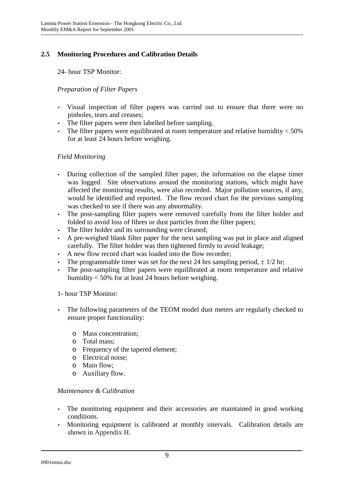# **2.5 Monitoring Procedures and Calibration Details**

24- hour TSP Monitor:

## *Preparation of Filter Papers*

- Visual inspection of filter papers was carried out to ensure that there were no pinholes, tears and creases;
- The filter papers were then labelled before sampling.
- The filter papers were equilibrated at room temperature and relative humidity  $<$  50% for at least 24 hours before weighing.

#### *Field Monitoring*

- During collection of the sampled filter paper, the information on the elapse timer was logged. Site observations around the monitoring stations, which might have affected the monitoring results, were also recorded. Major pollution sources, if any, would be identified and reported. The flow record chart for the previous sampling was checked to see if there was any abnormality.
- The post-sampling filter papers were removed carefully from the filter holder and folded to avoid loss of fibres or dust particles from the filter papers;
- The filter holder and its surrounding were cleaned;
- A pre-weighed blank filter paper for the next sampling was put in place and aligned carefully. The filter holder was then tightened firmly to avoid leakage;
- A new flow record chart was loaded into the flow recorder;
- The programmable timer was set for the next 24 hrs sampling period,  $\pm 1/2$  hr;
- The post-sampling filter papers were equilibrated at room temperature and relative humidity < 50% for at least 24 hours before weighing.

#### 1- hour TSP Monitor:

- The following parameters of the TEOM model dust meters are regularly checked to ensure proper functionality:
	- o Mass concentration;
	- o Total mass;
	- o Frequency of the tapered element;
	- o Electrical noise;
	- o Main flow;
	- o Auxiliary flow.

#### *Maintenance & Calibration*

- The monitoring equipment and their accessories are maintained in good working conditions.
- Monitoring equipment is calibrated at monthly intervals. Calibration details are shown in Appendix H.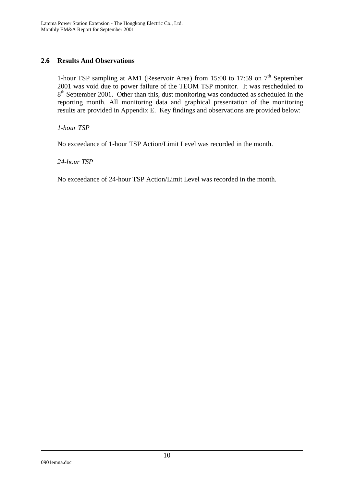## **2.6 Results And Observations**

1-hour TSP sampling at AM1 (Reservoir Area) from 15:00 to 17:59 on  $7<sup>th</sup>$  September 2001 was void due to power failure of the TEOM TSP monitor. It was rescheduled to 8<sup>th</sup> September 2001. Other than this, dust monitoring was conducted as scheduled in the reporting month. All monitoring data and graphical presentation of the monitoring results are provided in Appendix E. Key findings and observations are provided below:

*1-hour TSP* 

No exceedance of 1-hour TSP Action/Limit Level was recorded in the month.

*24-hour TSP* 

No exceedance of 24-hour TSP Action/Limit Level was recorded in the month.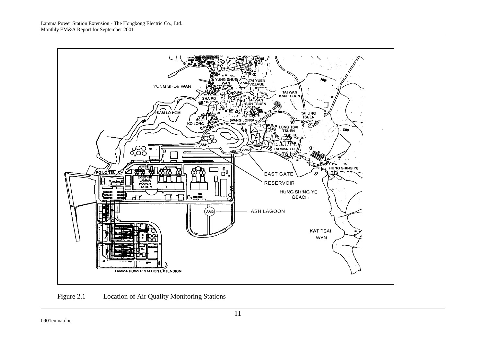

Figure 2.1 Location of Air Quality Monitoring Stations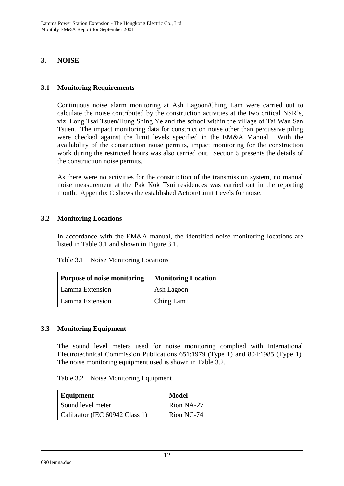## **3. NOISE**

## **3.1 Monitoring Requirements**

Continuous noise alarm monitoring at Ash Lagoon/Ching Lam were carried out to calculate the noise contributed by the construction activities at the two critical NSR's, viz. Long Tsai Tsuen/Hung Shing Ye and the school within the village of Tai Wan San Tsuen. The impact monitoring data for construction noise other than percussive piling were checked against the limit levels specified in the EM&A Manual. With the availability of the construction noise permits, impact monitoring for the construction work during the restricted hours was also carried out. Section 5 presents the details of the construction noise permits.

As there were no activities for the construction of the transmission system, no manual noise measurement at the Pak Kok Tsui residences was carried out in the reporting month. Appendix C shows the established Action/Limit Levels for noise.

#### **3.2 Monitoring Locations**

In accordance with the EM&A manual, the identified noise monitoring locations are listed in Table 3.1 and shown in Figure 3.1.

| Purpose of noise monitoring | <b>Monitoring Location</b> |  |
|-----------------------------|----------------------------|--|
| Lamma Extension             | Ash Lagoon                 |  |
| Lamma Extension             | Ching Lam                  |  |

#### **3.3 Monitoring Equipment**

The sound level meters used for noise monitoring complied with International Electrotechnical Commission Publications 651:1979 (Type 1) and 804:1985 (Type 1). The noise monitoring equipment used is shown in Table 3.2.

| Equipment                      | <b>Model</b> |
|--------------------------------|--------------|
| Sound level meter              | Rion NA-27   |
| Calibrator (IEC 60942 Class 1) | Rion NC-74   |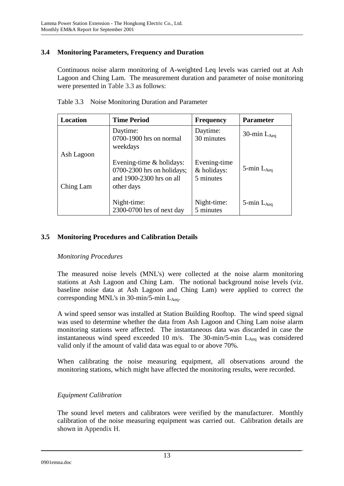## **3.4 Monitoring Parameters, Frequency and Duration**

Continuous noise alarm monitoring of A-weighted Leq levels was carried out at Ash Lagoon and Ching Lam. The measurement duration and parameter of noise monitoring were presented in Table 3.3 as follows:

| Location                | <b>Time Period</b>                                                                                 | <b>Frequency</b>                         | <b>Parameter</b> |
|-------------------------|----------------------------------------------------------------------------------------------------|------------------------------------------|------------------|
|                         | Daytime:<br>0700-1900 hrs on normal<br>weekdays                                                    | Daytime:<br>30 minutes                   | 30-min $L_{Aeq}$ |
| Ash Lagoon<br>Ching Lam | Evening-time & holidays:<br>$0700-2300$ hrs on holidays;<br>and 1900-2300 hrs on all<br>other days | Evening-time<br>& holidays:<br>5 minutes | 5-min $L_{Aeq}$  |
|                         | Night-time:<br>2300-0700 hrs of next day                                                           | Night-time:<br>5 minutes                 | 5-min $L_{Aea}$  |

Table 3.3 Noise Monitoring Duration and Parameter

## **3.5 Monitoring Procedures and Calibration Details**

#### *Monitoring Procedures*

The measured noise levels (MNL's) were collected at the noise alarm monitoring stations at Ash Lagoon and Ching Lam. The notional background noise levels (viz. baseline noise data at Ash Lagoon and Ching Lam) were applied to correct the corresponding MNL's in 30-min/5-min  $L_{Aeq}$ .

A wind speed sensor was installed at Station Building Rooftop. The wind speed signal was used to determine whether the data from Ash Lagoon and Ching Lam noise alarm monitoring stations were affected. The instantaneous data was discarded in case the instantaneous wind speed exceeded 10 m/s. The 30-min/5-min  $L_{A_{eq}}$  was considered valid only if the amount of valid data was equal to or above 70%.

When calibrating the noise measuring equipment, all observations around the monitoring stations, which might have affected the monitoring results, were recorded.

# *Equipment Calibration*

The sound level meters and calibrators were verified by the manufacturer. Monthly calibration of the noise measuring equipment was carried out. Calibration details are shown in Appendix H.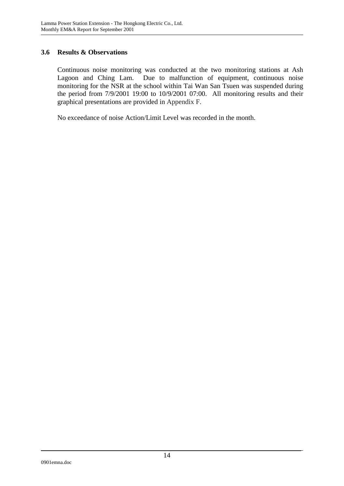## **3.6 Results & Observations**

Continuous noise monitoring was conducted at the two monitoring stations at Ash Lagoon and Ching Lam. Due to malfunction of equipment, continuous noise monitoring for the NSR at the school within Tai Wan San Tsuen was suspended during the period from 7/9/2001 19:00 to 10/9/2001 07:00. All monitoring results and their graphical presentations are provided in Appendix F.

No exceedance of noise Action/Limit Level was recorded in the month.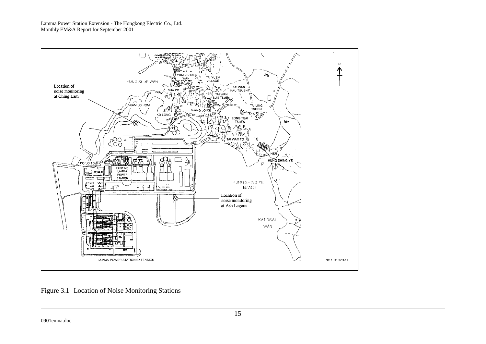

Figure 3.1 Location of Noise Monitoring Stations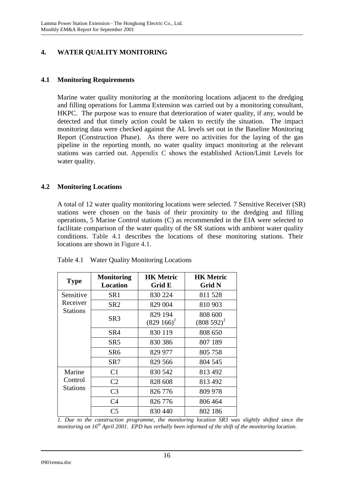# **4. WATER QUALITY MONITORING**

## **4.1 Monitoring Requirements**

Marine water quality monitoring at the monitoring locations adjacent to the dredging and filling operations for Lamma Extension was carried out by a monitoring consultant, HKPC. The purpose was to ensure that deterioration of water quality, if any, would be detected and that timely action could be taken to rectify the situation. The impact monitoring data were checked against the AL levels set out in the Baseline Monitoring Report (Construction Phase). As there were no activities for the laying of the gas pipeline in the reporting month, no water quality impact monitoring at the relevant stations was carried out. Appendix C shows the established Action/Limit Levels for water quality.

## **4.2 Monitoring Locations**

A total of 12 water quality monitoring locations were selected. 7 Sensitive Receiver (SR) stations were chosen on the basis of their proximity to the dredging and filling operations, 5 Marine Control stations (C) as recommended in the EIA were selected to facilitate comparison of the water quality of the SR stations with ambient water quality conditions. Table 4.1 describes the locations of these monitoring stations. Their locations are shown in Figure 4.1.

| <b>Type</b>     | <b>Monitoring</b><br><b>Location</b> | <b>HK Metric</b><br>Grid E | <b>HK Metric</b><br><b>Grid N</b> |
|-----------------|--------------------------------------|----------------------------|-----------------------------------|
| Sensitive       | SR <sub>1</sub>                      | 830 224                    | 811 528                           |
| Receiver        | SR <sub>2</sub>                      | 829 004                    | 810 903                           |
| <b>Stations</b> | SR3                                  | 829 194<br>$(829166)^T$    | 808 600<br>$(808592)^{1}$         |
|                 | SR <sub>4</sub>                      | 830 119                    | 808 650                           |
|                 | SR <sub>5</sub>                      | 830 386                    | 807 189                           |
|                 | SR6                                  | 829 977                    | 805 758                           |
|                 | SR7                                  | 829 566                    | 804 545                           |
| Marine          | C <sub>1</sub>                       | 830 542                    | 813 492                           |
| Control         | C <sub>2</sub>                       | 828 608                    | 813 492                           |
| Stations        | C <sub>3</sub>                       | 826 776                    | 809 978                           |
|                 | C <sub>4</sub>                       | 826 776                    | 806 464                           |
|                 | C <sub>5</sub>                       | 830 440                    | 802 186                           |

Table 4.1 Water Quality Monitoring Locations

*1. Due to the construction programme, the monitoring location SR3 was slightly shifted since the monitoring on 16th April 2001. EPD has verbally been informed of the shift of the monitoring location.*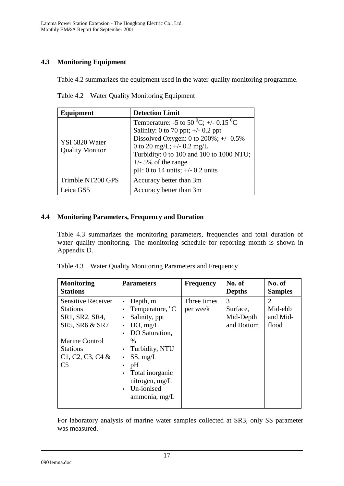# **4.3 Monitoring Equipment**

Table 4.2 summarizes the equipment used in the water-quality monitoring programme.

| Equipment                                | <b>Detection Limit</b>                                                                                                                                                                                                                                                                              |  |  |
|------------------------------------------|-----------------------------------------------------------------------------------------------------------------------------------------------------------------------------------------------------------------------------------------------------------------------------------------------------|--|--|
| YSI 6820 Water<br><b>Quality Monitor</b> | Temperature: -5 to 50 <sup>0</sup> C; +/- 0.15 <sup>0</sup> C<br>Salinity: 0 to 70 ppt; $\pm$ /- 0.2 ppt<br>Dissolved Oxygen: 0 to $200\%$ ; +/- $0.5\%$<br>0 to 20 mg/L; $+/- 0.2$ mg/L<br>Turbidity: 0 to 100 and 100 to 1000 NTU;<br>$+/-$ 5% of the range<br>pH: 0 to 14 units; $+/- 0.2$ units |  |  |
| Trimble NT200 GPS                        | Accuracy better than 3m                                                                                                                                                                                                                                                                             |  |  |
| Leica GS5                                | Accuracy better than 3m                                                                                                                                                                                                                                                                             |  |  |

Table 4.2 Water Quality Monitoring Equipment

# **4.4 Monitoring Parameters, Frequency and Duration**

Table 4.3 summarizes the monitoring parameters, frequencies and total duration of water quality monitoring. The monitoring schedule for reporting month is shown in Appendix D.

| <b>Monitoring</b><br><b>Stations</b>                                             | <b>Parameters</b>                                                                                                                                                 | <b>Frequency</b>        | No. of<br><b>Depths</b>                  | No. of<br><b>Samples</b>          |
|----------------------------------------------------------------------------------|-------------------------------------------------------------------------------------------------------------------------------------------------------------------|-------------------------|------------------------------------------|-----------------------------------|
| <b>Sensitive Receiver</b><br><b>Stations</b><br>SR1, SR2, SR4,<br>SR5, SR6 & SR7 | Depth, m<br>Temperature, <sup>o</sup> C<br>$\bullet$<br>Salinity, ppt<br>DO, mg/L<br>$\bullet$<br>DO Saturation,                                                  | Three times<br>per week | 3<br>Surface,<br>Mid-Depth<br>and Bottom | 2<br>Mid-ebb<br>and Mid-<br>flood |
| <b>Marine Control</b><br><b>Stations</b><br>$C1, C2, C3, C4$ &<br>C <sub>5</sub> | $\frac{0}{0}$<br>Turbidity, NTU<br>$\bullet$<br>SS, mg/L<br>٠<br>pH<br>$\bullet$<br>Total inorganic<br>nitrogen, mg/L<br>Un-ionised<br>$\bullet$<br>ammonia, mg/L |                         |                                          |                                   |

|  | Table 4.3 Water Quality Monitoring Parameters and Frequency |  |
|--|-------------------------------------------------------------|--|
|--|-------------------------------------------------------------|--|

For laboratory analysis of marine water samples collected at SR3, only SS parameter was measured.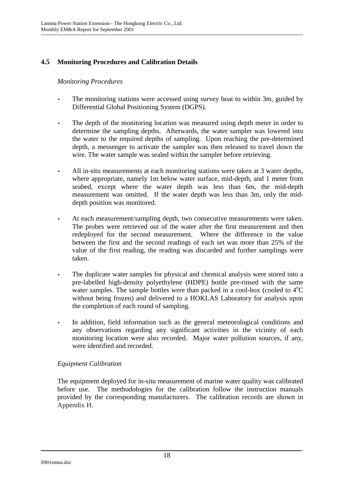# **4.5 Monitoring Procedures and Calibration Details**

#### *Monitoring Procedures*

- The monitoring stations were accessed using survey boat to within 3m, guided by Differential Global Positioning System (DGPS).
- The depth of the monitoring location was measured using depth meter in order to determine the sampling depths. Afterwards, the water sampler was lowered into the water to the required depths of sampling. Upon reaching the pre-determined depth, a messenger to activate the sampler was then released to travel down the wire. The water sample was sealed within the sampler before retrieving.
- All in-situ measurements at each monitoring stations were taken at 3 water depths, where appropriate, namely 1m below water surface, mid-depth, and 1 meter from seabed, except where the water depth was less than 6m, the mid-depth measurement was omitted. If the water depth was less than 3m, only the middepth position was monitored.
- At each measurement/sampling depth, two consecutive measurements were taken. The probes were retrieved out of the water after the first measurement and then redeployed for the second measurement. Where the difference in the value between the first and the second readings of each set was more than 25% of the value of the first reading, the reading was discarded and further samplings were taken.
- The duplicate water samples for physical and chemical analysis were stored into a pre-labelled high-density polyethylene (HDPE) bottle pre-rinsed with the same water samples. The sample bottles were than packed in a cool-box (cooled to  $4^{\circ}C$ without being frozen) and delivered to a HOKLAS Laboratory for analysis upon the completion of each round of sampling.
- In addition, field information such as the general meteorological conditions and any observations regarding any significant activities in the vicinity of each monitoring location were also recorded. Major water pollution sources, if any, were identified and recorded.

#### *Equipment Calibration*

The equipment deployed for in-situ measurement of marine water quality was calibrated before use. The methodologies for the calibration follow the instruction manuals provided by the corresponding manufacturers. The calibration records are shown in Appendix H.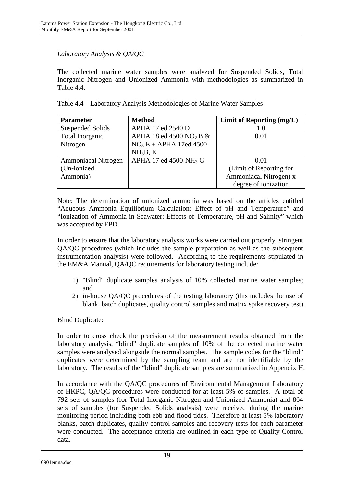## *Laboratory Analysis & QA/QC*

The collected marine water samples were analyzed for Suspended Solids, Total Inorganic Nitrogen and Unionized Ammonia with methodologies as summarized in Table 4.4.

|  |  |  |  |  | Table 4.4 Laboratory Analysis Methodologies of Marine Water Samples |
|--|--|--|--|--|---------------------------------------------------------------------|
|--|--|--|--|--|---------------------------------------------------------------------|

| <b>Parameter</b>           | <b>Method</b>                          | Limit of Reporting (mg/L) |
|----------------------------|----------------------------------------|---------------------------|
| <b>Suspended Solids</b>    | APHA 17 ed 2540 D                      | 1.0                       |
| Total Inorganic            | APHA 18 ed 4500 NO <sub>2</sub> B $\&$ | 0.01                      |
| Nitrogen                   | $NO3E + APHA$ 17ed 4500-               |                           |
|                            | NH <sub>3</sub> B, E                   |                           |
| <b>Ammoniacal Nitrogen</b> | APHA 17 ed 4500-NH <sub>3</sub> G      | 0.01                      |
| (Un-ionized)               |                                        | (Limit of Reporting for   |
| Ammonia)                   |                                        | Ammoniacal Nitrogen) x    |
|                            |                                        | degree of ionization      |

Note: The determination of unionized ammonia was based on the articles entitled "Aqueous Ammonia Equilibrium Calculation: Effect of pH and Temperature" and "Ionization of Ammonia in Seawater: Effects of Temperature, pH and Salinity" which was accepted by EPD.

In order to ensure that the laboratory analysis works were carried out properly, stringent QA/QC procedures (which includes the sample preparation as well as the subsequent instrumentation analysis) were followed. According to the requirements stipulated in the EM&A Manual, QA/QC requirements for laboratory testing include:

- 1) "Blind" duplicate samples analysis of 10% collected marine water samples; and
- 2) in-house QA/QC procedures of the testing laboratory (this includes the use of blank, batch duplicates, quality control samples and matrix spike recovery test).

Blind Duplicate:

In order to cross check the precision of the measurement results obtained from the laboratory analysis, "blind" duplicate samples of 10% of the collected marine water samples were analysed alongside the normal samples. The sample codes for the "blind" duplicates were determined by the sampling team and are not identifiable by the laboratory. The results of the "blind" duplicate samples are summarized in Appendix H.

In accordance with the QA/QC procedures of Environmental Management Laboratory of HKPC, QA/QC procedures were conducted for at least 5% of samples. A total of 792 sets of samples (for Total Inorganic Nitrogen and Unionized Ammonia) and 864 sets of samples (for Suspended Solids analysis) were received during the marine monitoring period including both ebb and flood tides. Therefore at least 5% laboratory blanks, batch duplicates, quality control samples and recovery tests for each parameter were conducted. The acceptance criteria are outlined in each type of Quality Control data.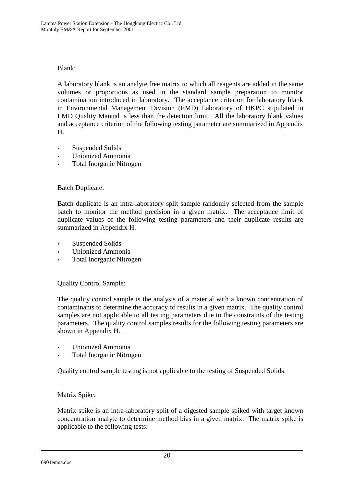## Blank:

A laboratory blank is an analyte free matrix to which all reagents are added in the same volumes or proportions as used in the standard sample preparation to monitor contamination introduced in laboratory. The acceptance criterion for laboratory blank in Environmental Management Division (EMD) Laboratory of HKPC stipulated in EMD Quality Manual is less than the detection limit. All the laboratory blank values and acceptance criterion of the following testing parameter are summarized in Appendix H.

- Suspended Solids
- Unionized Ammonia
- Total Inorganic Nitrogen

#### Batch Duplicate:

Batch duplicate is an intra-laboratory split sample randomly selected from the sample batch to monitor the method precision in a given matrix. The acceptance limit of duplicate values of the following testing parameters and their duplicate results are summarized in Appendix H.

- Suspended Solids
- Unionized Ammonia
- Total Inorganic Nitrogen

Quality Control Sample:

The quality control sample is the analysis of a material with a known concentration of contaminants to determine the accuracy of results in a given matrix. The quality control samples are not applicable to all testing parameters due to the constraints of the testing parameters. The quality control samples results for the following testing parameters are shown in Appendix H.

- Unionized Ammonia
- Total Inorganic Nitrogen

Quality control sample testing is not applicable to the testing of Suspended Solids.

#### Matrix Spike:

Matrix spike is an intra-laboratory split of a digested sample spiked with target known concentration analyte to determine method bias in a given matrix. The matrix spike is applicable to the following tests: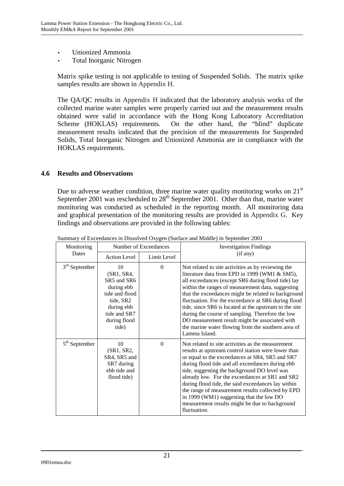- Unionized Ammonia
- Total Inorganic Nitrogen

Matrix spike testing is not applicable to testing of Suspended Solids. The matrix spike samples results are shown in Appendix H.

The QA/QC results in Appendix H indicated that the laboratory analysis works of the collected marine water samples were properly carried out and the measurement results obtained were valid in accordance with the Hong Kong Laboratory Accreditation Scheme (HOKLAS) requirements. On the other hand, the "blind" duplicate measurement results indicated that the precision of the measurements for Suspended Solids, Total Inorganic Nitrogen and Unionized Ammonia are in compliance with the HOKLAS requirements.

#### **4.6 Results and Observations**

Due to adverse weather condition, three marine water quality monitoring works on  $21<sup>st</sup>$ September 2001 was rescheduled to  $28<sup>th</sup>$  September 2001. Other than that, marine water monitoring was conducted as scheduled in the reporting month. All monitoring data and graphical presentation of the monitoring results are provided in Appendix G. Key findings and observations are provided in the following tables:

| Monitoring<br>Number of Exceedances |                                                                                                                                     |              | <b>Investigation Findings</b>                                                                                                                                                                                                                                                                                                                                                                                                                                                                                                                                       |
|-------------------------------------|-------------------------------------------------------------------------------------------------------------------------------------|--------------|---------------------------------------------------------------------------------------------------------------------------------------------------------------------------------------------------------------------------------------------------------------------------------------------------------------------------------------------------------------------------------------------------------------------------------------------------------------------------------------------------------------------------------------------------------------------|
| Dates                               | <b>Action Level</b>                                                                                                                 | Limit Level  | (if any)                                                                                                                                                                                                                                                                                                                                                                                                                                                                                                                                                            |
| $3rd$ September                     | 10<br>(SR1, SR4,<br>SR5 and SR6<br>during ebb<br>tide and flood<br>tide, SR2<br>during ebb<br>tide and SR7<br>during flood<br>tide) | $\mathbf{0}$ | Not related to site activities as by reviewing the<br>literature data from EPD in 1999 (WM1 & SM5),<br>all exceedances (except SR6 during flood tide) lay<br>within the ranges of measurement data, suggesting<br>that the exceedances might be related to background<br>fluctuation. For the exceedance at SR6 during flood<br>tide, since SR6 is located at the upstream to the site<br>during the course of sampling. Therefore the low<br>DO measurement result might be associated with<br>the marine water flowing from the southern area of<br>Lamma Island. |
| $5th$ September                     | 10<br>(SR1, SR2,<br>SR4, SR5 and<br>SR7 during<br>ebb tide and<br>flood tide)                                                       | $\mathbf{0}$ | Not related to site activities as the measurement<br>results at upstream control station were lower than<br>or equal to the exceedances at SR4, SR5 and SR7<br>during flood tide and all exceedances during ebb<br>tide, suggesting the background DO level was<br>already low. For the exceedances at SR1 and SR2<br>during flood tide, the said exceedances lay within<br>the range of measurement results collected by EPD<br>in 1999 (WM1) suggesting that the low DO<br>measurement results might be due to background<br>fluctuation.                         |

Summary of Exceedances in Dissolved Oxygen (Surface and Middle) in September 2001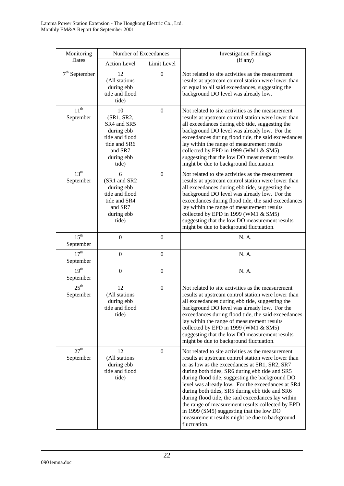| Monitoring                    |                                                                                                                   | Number of Exceedances | <b>Investigation Findings</b>                                                                                                                                                                                                                                                                                                                                                                                                                                                                                                                                                                  |  |
|-------------------------------|-------------------------------------------------------------------------------------------------------------------|-----------------------|------------------------------------------------------------------------------------------------------------------------------------------------------------------------------------------------------------------------------------------------------------------------------------------------------------------------------------------------------------------------------------------------------------------------------------------------------------------------------------------------------------------------------------------------------------------------------------------------|--|
| Dates                         | <b>Action Level</b>                                                                                               | Limit Level           | (if any)                                                                                                                                                                                                                                                                                                                                                                                                                                                                                                                                                                                       |  |
| $7th$ September               | 12<br>(All stations<br>during ebb<br>tide and flood<br>tide)                                                      | $\boldsymbol{0}$      | Not related to site activities as the measurement<br>results at upstream control station were lower than<br>or equal to all said exceedances, suggesting the<br>background DO level was already low.                                                                                                                                                                                                                                                                                                                                                                                           |  |
| 11 <sup>th</sup><br>September | 10<br>(SR1, SR2,<br>SR4 and SR5<br>during ebb<br>tide and flood<br>tide and SR6<br>and SR7<br>during ebb<br>tide) | $\mathbf{0}$          | Not related to site activities as the measurement<br>results at upstream control station were lower than<br>all exceedances during ebb tide, suggesting the<br>background DO level was already low. For the<br>exceedances during flood tide, the said exceedances<br>lay within the range of measurement results<br>collected by EPD in 1999 (WM1 & SM5)<br>suggesting that the low DO measurement results<br>might be due to background fluctuation.                                                                                                                                         |  |
| 13 <sup>th</sup><br>September | 6<br>(SR1 and SR2<br>during ebb<br>tide and flood<br>tide and SR4<br>and SR7<br>during ebb<br>tide)               | $\mathbf{0}$          | Not related to site activities as the measurement<br>results at upstream control station were lower than<br>all exceedances during ebb tide, suggesting the<br>background DO level was already low. For the<br>exceedances during flood tide, the said exceedances<br>lay within the range of measurement results<br>collected by EPD in 1999 (WM1 & SM5)<br>suggesting that the low DO measurement results<br>might be due to background fluctuation.                                                                                                                                         |  |
| $15^{\text{th}}$<br>September | $\overline{0}$                                                                                                    | $\mathbf{0}$          | N. A.                                                                                                                                                                                                                                                                                                                                                                                                                                                                                                                                                                                          |  |
| 17 <sup>th</sup><br>September | $\boldsymbol{0}$                                                                                                  | $\boldsymbol{0}$      | N. A.                                                                                                                                                                                                                                                                                                                                                                                                                                                                                                                                                                                          |  |
| 19 <sup>th</sup><br>September | $\mathbf{0}$                                                                                                      | $\boldsymbol{0}$      | N. A.                                                                                                                                                                                                                                                                                                                                                                                                                                                                                                                                                                                          |  |
| $25^{\text{th}}$<br>September | 12<br>(All stations<br>during ebb<br>tide and flood<br>tide)                                                      | $\boldsymbol{0}$      | Not related to site activities as the measurement<br>results at upstream control station were lower than<br>all exceedances during ebb tide, suggesting the<br>background DO level was already low. For the<br>exceedances during flood tide, the said exceedances<br>lay within the range of measurement results<br>collected by EPD in 1999 (WM1 & SM5)<br>suggesting that the low DO measurement results<br>might be due to background fluctuation.                                                                                                                                         |  |
| 27 <sup>th</sup><br>September | 12<br>(All stations<br>during ebb<br>tide and flood<br>tide)                                                      | $\boldsymbol{0}$      | Not related to site activities as the measurement<br>results at upstream control station were lower than<br>or as low as the exceedances at SR1, SR2, SR7<br>during both tides, SR6 during ebb tide and SR5<br>during flood tide, suggesting the background DO<br>level was already low. For the exceedances at SR4<br>during both tides, SR5 during ebb tide and SR6<br>during flood tide, the said exceedances lay within<br>the range of measurement results collected by EPD<br>in 1999 (SM5) suggesting that the low DO<br>measurement results might be due to background<br>fluctuation. |  |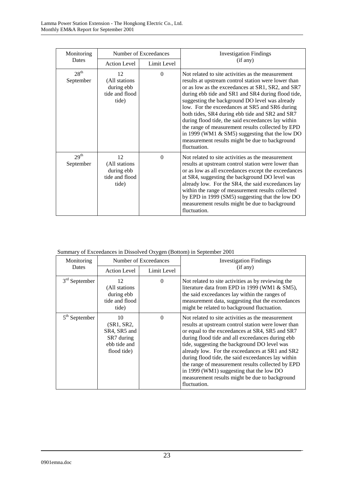| Monitoring                    | Number of Exceedances                                        |             | <b>Investigation Findings</b>                                                                                                                                                                                                                                                                                                                                                                                                                                                                                                                                                                                |
|-------------------------------|--------------------------------------------------------------|-------------|--------------------------------------------------------------------------------------------------------------------------------------------------------------------------------------------------------------------------------------------------------------------------------------------------------------------------------------------------------------------------------------------------------------------------------------------------------------------------------------------------------------------------------------------------------------------------------------------------------------|
| Dates                         | <b>Action Level</b>                                          | Limit Level | (if any)                                                                                                                                                                                                                                                                                                                                                                                                                                                                                                                                                                                                     |
| 28 <sup>th</sup><br>September | 12<br>(All stations<br>during ebb<br>tide and flood<br>tide) | $\Omega$    | Not related to site activities as the measurement<br>results at upstream control station were lower than<br>or as low as the exceedances at SR1, SR2, and SR7<br>during ebb tide and SR1 and SR4 during flood tide,<br>suggesting the background DO level was already<br>low. For the exceedances at SR5 and SR6 during<br>both tides, SR4 during ebb tide and SR2 and SR7<br>during flood tide, the said exceedances lay within<br>the range of measurement results collected by EPD<br>in 1999 (WM1 $\&$ SM5) suggesting that the low DO<br>measurement results might be due to background<br>fluctuation. |
| 29 <sup>th</sup><br>September | 12<br>(All stations<br>during ebb<br>tide and flood<br>tide) | $\Omega$    | Not related to site activities as the measurement<br>results at upstream control station were lower than<br>or as low as all exceedances except the exceedances<br>at SR4, suggesting the background DO level was<br>already low. For the SR4, the said exceedances lay<br>within the range of measurement results collected<br>by EPD in 1999 (SM5) suggesting that the low DO<br>measurement results might be due to background<br>fluctuation.                                                                                                                                                            |

| Summary of Exceedances in Dissolved Oxygen (Bottom) in September 2001 |  |  |
|-----------------------------------------------------------------------|--|--|
|                                                                       |  |  |

| Monitoring      | Number of Exceedances                                                         |             | <b>Investigation Findings</b>                                                                                                                                                                                                                                                                                                                                                                                                                                                                                                               |
|-----------------|-------------------------------------------------------------------------------|-------------|---------------------------------------------------------------------------------------------------------------------------------------------------------------------------------------------------------------------------------------------------------------------------------------------------------------------------------------------------------------------------------------------------------------------------------------------------------------------------------------------------------------------------------------------|
| Dates           | <b>Action Level</b>                                                           | Limit Level | (if any)                                                                                                                                                                                                                                                                                                                                                                                                                                                                                                                                    |
| $3rd$ September | 12<br>(All stations)<br>during ebb<br>tide and flood<br>tide)                 | $\Omega$    | Not related to site activities as by reviewing the<br>literature data from EPD in 1999 (WM1 & SM5),<br>the said exceedances lay within the ranges of<br>measurement data, suggesting that the exceedances<br>might be related to background fluctuation.                                                                                                                                                                                                                                                                                    |
| $5th$ September | 10<br>(SR1, SR2,<br>SR4, SR5 and<br>SR7 during<br>ebb tide and<br>flood tide) | $\Omega$    | Not related to site activities as the measurement<br>results at upstream control station were lower than<br>or equal to the exceedances at SR4, SR5 and SR7<br>during flood tide and all exceedances during ebb<br>tide, suggesting the background DO level was<br>already low. For the exceedances at SR1 and SR2<br>during flood tide, the said exceedances lay within<br>the range of measurement results collected by EPD<br>in 1999 (WM1) suggesting that the low DO<br>measurement results might be due to background<br>fluctuation. |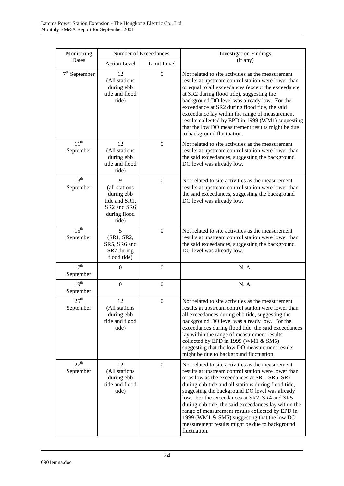| Monitoring                    | Number of Exceedances                                                                                                        |                  | <b>Investigation Findings</b>                                                                                                                                                                                                                                                                                                                                                                                                                                                                                                                   |
|-------------------------------|------------------------------------------------------------------------------------------------------------------------------|------------------|-------------------------------------------------------------------------------------------------------------------------------------------------------------------------------------------------------------------------------------------------------------------------------------------------------------------------------------------------------------------------------------------------------------------------------------------------------------------------------------------------------------------------------------------------|
| Dates                         | <b>Action Level</b>                                                                                                          | Limit Level      | (if any)                                                                                                                                                                                                                                                                                                                                                                                                                                                                                                                                        |
| $7th$ September               | 12<br>(All stations<br>during ebb<br>tide and flood<br>tide)                                                                 | $\boldsymbol{0}$ | Not related to site activities as the measurement<br>results at upstream control station were lower than<br>or equal to all exceedances (except the exceedance<br>at SR2 during flood tide), suggesting the<br>background DO level was already low. For the<br>exceedance at SR2 during flood tide, the said<br>exceedance lay within the range of measurement<br>results collected by EPD in 1999 (WM1) suggesting<br>that the low DO measurement results might be due<br>to background fluctuation.                                           |
| $11^{th}$<br>September        | 12<br>(All stations<br>during ebb<br>tide and flood<br>tide)                                                                 | $\mathbf{0}$     | Not related to site activities as the measurement<br>results at upstream control station were lower than<br>the said exceedances, suggesting the background<br>DO level was already low.                                                                                                                                                                                                                                                                                                                                                        |
| 13 <sup>th</sup><br>September | $\mathbf{Q}$<br>(all stations<br>during ebb<br>tide and SR1,<br>SR <sub>2</sub> and SR <sub>6</sub><br>during flood<br>tide) | $\mathbf{0}$     | Not related to site activities as the measurement<br>results at upstream control station were lower than<br>the said exceedances, suggesting the background<br>DO level was already low.                                                                                                                                                                                                                                                                                                                                                        |
| 15 <sup>th</sup><br>September | 5<br>(SR1, SR2,<br>SR5, SR6 and<br>SR7 during<br>flood tide)                                                                 | $\overline{0}$   | Not related to site activities as the measurement<br>results at upstream control station were lower than<br>the said exceedances, suggesting the background<br>DO level was already low.                                                                                                                                                                                                                                                                                                                                                        |
| 17 <sup>th</sup><br>September | $\boldsymbol{0}$                                                                                                             | $\boldsymbol{0}$ | N. A.                                                                                                                                                                                                                                                                                                                                                                                                                                                                                                                                           |
| 19 <sup>th</sup><br>September | $\boldsymbol{0}$                                                                                                             | $\mathbf{0}$     | N. A.                                                                                                                                                                                                                                                                                                                                                                                                                                                                                                                                           |
| $25^{\text{th}}$<br>September | 12<br>(All stations<br>during ebb<br>tide and flood<br>tide)                                                                 | $\boldsymbol{0}$ | Not related to site activities as the measurement<br>results at upstream control station were lower than<br>all exceedances during ebb tide, suggesting the<br>background DO level was already low. For the<br>exceedances during flood tide, the said exceedances<br>lay within the range of measurement results<br>collected by EPD in 1999 (WM1 & SM5)<br>suggesting that the low DO measurement results<br>might be due to background fluctuation.                                                                                          |
| 27 <sup>th</sup><br>September | 12<br>(All stations<br>during ebb<br>tide and flood<br>tide)                                                                 | $\boldsymbol{0}$ | Not related to site activities as the measurement<br>results at upstream control station were lower than<br>or as low as the exceedances at SR1, SR6, SR7<br>during ebb tide and all stations during flood tide,<br>suggesting the background DO level was already<br>low. For the exceedances at SR2, SR4 and SR5<br>during ebb tide, the said exceedances lay within the<br>range of measurement results collected by EPD in<br>1999 (WM1 & SM5) suggesting that the low DO<br>measurement results might be due to background<br>fluctuation. |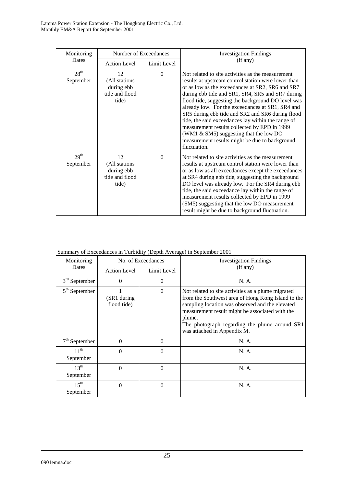| Monitoring                    | Number of Exceedances                                        |             | <b>Investigation Findings</b>                                                                                                                                                                                                                                                                                                                                                                                                                                                                                                                                                                    |
|-------------------------------|--------------------------------------------------------------|-------------|--------------------------------------------------------------------------------------------------------------------------------------------------------------------------------------------------------------------------------------------------------------------------------------------------------------------------------------------------------------------------------------------------------------------------------------------------------------------------------------------------------------------------------------------------------------------------------------------------|
| Dates                         | <b>Action Level</b>                                          | Limit Level | (if any)                                                                                                                                                                                                                                                                                                                                                                                                                                                                                                                                                                                         |
| 28 <sup>th</sup><br>September | 12<br>(All stations<br>during ebb<br>tide and flood<br>tide) | $\Omega$    | Not related to site activities as the measurement<br>results at upstream control station were lower than<br>or as low as the exceedances at SR2, SR6 and SR7<br>during ebb tide and SR1, SR4, SR5 and SR7 during<br>flood tide, suggesting the background DO level was<br>already low. For the exceedances at SR1, SR4 and<br>SR5 during ebb tide and SR2 and SR6 during flood<br>tide, the said exceedances lay within the range of<br>measurement results collected by EPD in 1999<br>(WM1 & SM5) suggesting that the low DO<br>measurement results might be due to background<br>fluctuation. |
| 29 <sup>th</sup><br>September | 12<br>(All stations<br>during ebb<br>tide and flood<br>tide) | $\Omega$    | Not related to site activities as the measurement<br>results at upstream control station were lower than<br>or as low as all exceedances except the exceedances<br>at SR4 during ebb tide, suggesting the background<br>DO level was already low. For the SR4 during ebb<br>tide, the said exceedance lay within the range of<br>measurement results collected by EPD in 1999<br>(SM5) suggesting that the low DO measurement<br>result might be due to background fluctuation.                                                                                                                  |

## Summary of Exceedances in Turbidity (Depth Average) in September 2001

| Monitoring                    | No. of Exceedances          |             | <b>Investigation Findings</b>                                                                                                                                                                                                                                                                            |
|-------------------------------|-----------------------------|-------------|----------------------------------------------------------------------------------------------------------------------------------------------------------------------------------------------------------------------------------------------------------------------------------------------------------|
| Dates                         | <b>Action Level</b>         | Limit Level | (if any)                                                                                                                                                                                                                                                                                                 |
| $3rd$ September               | $\Omega$                    | $\Omega$    | N. A.                                                                                                                                                                                                                                                                                                    |
| $5th$ September               | (SR1 during)<br>flood tide) | $\Omega$    | Not related to site activities as a plume migrated<br>from the Southwest area of Hong Kong Island to the<br>sampling location was observed and the elevated<br>measurement result might be associated with the<br>plume.<br>The photograph regarding the plume around SR1<br>was attached in Appendix M. |
| $7th$ September               | $\theta$                    | $\Omega$    | N. A.                                                                                                                                                                                                                                                                                                    |
| $11^{th}$<br>September        | $\Omega$                    | $\Omega$    | N. A.                                                                                                                                                                                                                                                                                                    |
| $13^{\text{th}}$<br>September | $\Omega$                    | $\Omega$    | N. A.                                                                                                                                                                                                                                                                                                    |
| $15^{\text{th}}$<br>September | $\Omega$                    | $\Omega$    | N. A.                                                                                                                                                                                                                                                                                                    |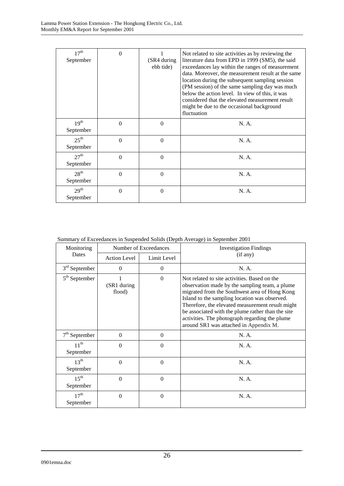| 17 <sup>th</sup><br>September | $\Omega$ | (SR4 during<br>ebb tide) | Not related to site activities as by reviewing the<br>literature data from EPD in 1999 (SM5), the said<br>exceedances lay within the ranges of measurement<br>data. Moreover, the measurement result at the same<br>location during the subsequent sampling session<br>(PM session) of the same sampling day was much<br>below the action level. In view of this, it was<br>considered that the elevated measurement result<br>might be due to the occasional background<br>fluctuation |
|-------------------------------|----------|--------------------------|-----------------------------------------------------------------------------------------------------------------------------------------------------------------------------------------------------------------------------------------------------------------------------------------------------------------------------------------------------------------------------------------------------------------------------------------------------------------------------------------|
| 19 <sup>th</sup><br>September | $\Omega$ | $\Omega$                 | N. A.                                                                                                                                                                                                                                                                                                                                                                                                                                                                                   |
| $25^{\text{th}}$<br>September | $\Omega$ | $\Omega$                 | N. A.                                                                                                                                                                                                                                                                                                                                                                                                                                                                                   |
| 27 <sup>th</sup><br>September | $\Omega$ | $\theta$                 | N. A.                                                                                                                                                                                                                                                                                                                                                                                                                                                                                   |
| 28 <sup>th</sup><br>September | $\Omega$ | 0                        | N. A.                                                                                                                                                                                                                                                                                                                                                                                                                                                                                   |
| 29 <sup>th</sup><br>September | $\Omega$ | $\theta$                 | N. A.                                                                                                                                                                                                                                                                                                                                                                                                                                                                                   |

Summary of Exceedances in Suspended Solids (Depth Average) in September 2001

| Monitoring                    | Number of Exceedances |             | <b>Investigation Findings</b>                                                                                                                                                                                                                                                                                                                                                                         |
|-------------------------------|-----------------------|-------------|-------------------------------------------------------------------------------------------------------------------------------------------------------------------------------------------------------------------------------------------------------------------------------------------------------------------------------------------------------------------------------------------------------|
| Dates                         | <b>Action Level</b>   | Limit Level | (if any)                                                                                                                                                                                                                                                                                                                                                                                              |
| $3rd$ September               | $\Omega$              | $\theta$    | N. A.                                                                                                                                                                                                                                                                                                                                                                                                 |
| $5th$ September               | (SR1 during<br>flood) | $\Omega$    | Not related to site activities. Based on the<br>observation made by the sampling team, a plume<br>migrated from the Southwest area of Hong Kong<br>Island to the sampling location was observed.<br>Therefore, the elevated measurement result might<br>be associated with the plume rather than the site<br>activities. The photograph regarding the plume<br>around SR1 was attached in Appendix M. |
| $7th$ September               | $\Omega$              | $\Omega$    | N. A.                                                                                                                                                                                                                                                                                                                                                                                                 |
| $11^{th}$<br>September        | $\Omega$              | $\Omega$    | N. A.                                                                                                                                                                                                                                                                                                                                                                                                 |
| 13 <sup>th</sup><br>September | $\Omega$              | $\theta$    | N. A.                                                                                                                                                                                                                                                                                                                                                                                                 |
| $15^{\text{th}}$<br>September | $\Omega$              | $\Omega$    | N. A.                                                                                                                                                                                                                                                                                                                                                                                                 |
| 17 <sup>th</sup><br>September | $\Omega$              | $\Omega$    | N. A.                                                                                                                                                                                                                                                                                                                                                                                                 |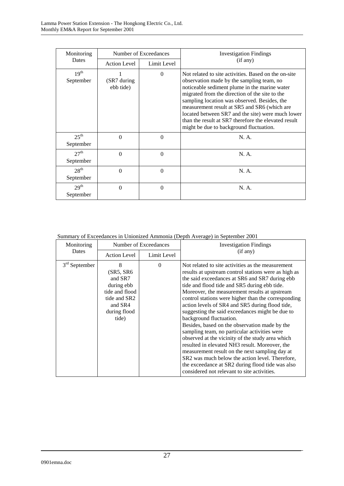| Monitoring                    | Number of Exceedances     |             | <b>Investigation Findings</b>                                                                                                                                                                                                                                                                                                                                                                                                                                |
|-------------------------------|---------------------------|-------------|--------------------------------------------------------------------------------------------------------------------------------------------------------------------------------------------------------------------------------------------------------------------------------------------------------------------------------------------------------------------------------------------------------------------------------------------------------------|
| Dates                         | <b>Action Level</b>       | Limit Level | (if any)                                                                                                                                                                                                                                                                                                                                                                                                                                                     |
| 19 <sup>th</sup><br>September | (SR7 during)<br>ebb tide) | $\Omega$    | Not related to site activities. Based on the on-site<br>observation made by the sampling team, no<br>noticeable sediment plume in the marine water<br>migrated from the direction of the site to the<br>sampling location was observed. Besides, the<br>measurement result at SR5 and SR6 (which are<br>located between SR7 and the site) were much lower<br>than the result at SR7 therefore the elevated result<br>might be due to background fluctuation. |
| $25^{\text{th}}$<br>September | $\Omega$                  | $\theta$    | N. A.                                                                                                                                                                                                                                                                                                                                                                                                                                                        |
| 27 <sup>th</sup><br>September | $\Omega$                  | $\Omega$    | N. A.                                                                                                                                                                                                                                                                                                                                                                                                                                                        |
| 28 <sup>th</sup><br>September | $\Omega$                  | $\theta$    | N. A.                                                                                                                                                                                                                                                                                                                                                                                                                                                        |
| 29 <sup>th</sup><br>September | $\theta$                  | $\theta$    | N. A.                                                                                                                                                                                                                                                                                                                                                                                                                                                        |

Summary of Exceedances in Unionized Ammonia (Depth Average) in September 2001

| Monitoring      | Number of Exceedances                                                                                         |             | <b>Investigation Findings</b>                                                                                                                                                                                                                                                                                                                                                                                                                                                                                                                                                                                                                                                                                                                                                                                                                                       |
|-----------------|---------------------------------------------------------------------------------------------------------------|-------------|---------------------------------------------------------------------------------------------------------------------------------------------------------------------------------------------------------------------------------------------------------------------------------------------------------------------------------------------------------------------------------------------------------------------------------------------------------------------------------------------------------------------------------------------------------------------------------------------------------------------------------------------------------------------------------------------------------------------------------------------------------------------------------------------------------------------------------------------------------------------|
| Dates           | <b>Action Level</b>                                                                                           | Limit Level | (if any)                                                                                                                                                                                                                                                                                                                                                                                                                                                                                                                                                                                                                                                                                                                                                                                                                                                            |
| $3rd$ September | 8<br>(SR5, SR6<br>and SR7<br>during ebb<br>tide and flood<br>tide and SR2<br>and SR4<br>during flood<br>tide) | $\Omega$    | Not related to site activities as the measurement<br>results at upstream control stations were as high as<br>the said exceedances at SR6 and SR7 during ebb<br>tide and flood tide and SR5 during ebb tide.<br>Moreover, the measurement results at upstream<br>control stations were higher than the corresponding<br>action levels of SR4 and SR5 during flood tide,<br>suggesting the said exceedances might be due to<br>background fluctuation.<br>Besides, based on the observation made by the<br>sampling team, no particular activities were<br>observed at the vicinity of the study area which<br>resulted in elevated NH3 result. Moreover, the<br>measurement result on the next sampling day at<br>SR2 was much below the action level. Therefore,<br>the exceedance at SR2 during flood tide was also<br>considered not relevant to site activities. |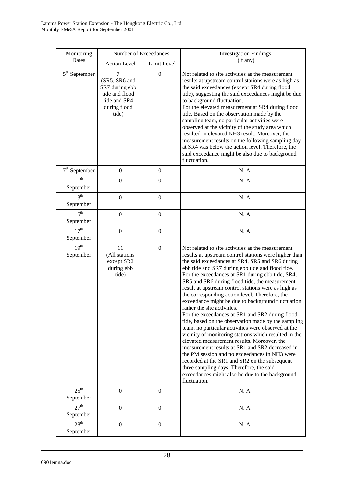| Monitoring                    | Number of Exceedances                                                                           |                  | <b>Investigation Findings</b>                                                                                                                                                                                                                                                                                                                                                                                                                                                                                                                                                                                                                                                                                                                                                                                                                                                                                                                                                                                                                                     |
|-------------------------------|-------------------------------------------------------------------------------------------------|------------------|-------------------------------------------------------------------------------------------------------------------------------------------------------------------------------------------------------------------------------------------------------------------------------------------------------------------------------------------------------------------------------------------------------------------------------------------------------------------------------------------------------------------------------------------------------------------------------------------------------------------------------------------------------------------------------------------------------------------------------------------------------------------------------------------------------------------------------------------------------------------------------------------------------------------------------------------------------------------------------------------------------------------------------------------------------------------|
| Dates                         | <b>Action Level</b>                                                                             | Limit Level      | (if any)                                                                                                                                                                                                                                                                                                                                                                                                                                                                                                                                                                                                                                                                                                                                                                                                                                                                                                                                                                                                                                                          |
| $5th$ September               | 7<br>(SR5, SR6 and<br>SR7 during ebb<br>tide and flood<br>tide and SR4<br>during flood<br>tide) | $\overline{0}$   | Not related to site activities as the measurement<br>results at upstream control stations were as high as<br>the said exceedances (except SR4 during flood<br>tide), suggesting the said exceedances might be due<br>to background fluctuation.<br>For the elevated measurement at SR4 during flood<br>tide. Based on the observation made by the<br>sampling team, no particular activities were<br>observed at the vicinity of the study area which<br>resulted in elevated NH3 result. Moreover, the<br>measurement results on the following sampling day<br>at SR4 was below the action level. Therefore, the<br>said exceedance might be also due to background<br>fluctuation.                                                                                                                                                                                                                                                                                                                                                                              |
| $7th$ September               | $\boldsymbol{0}$                                                                                | $\boldsymbol{0}$ | N. A.                                                                                                                                                                                                                                                                                                                                                                                                                                                                                                                                                                                                                                                                                                                                                                                                                                                                                                                                                                                                                                                             |
| $11^{th}$<br>September        | $\mathbf{0}$                                                                                    | $\boldsymbol{0}$ | N. A.                                                                                                                                                                                                                                                                                                                                                                                                                                                                                                                                                                                                                                                                                                                                                                                                                                                                                                                                                                                                                                                             |
| $13^{th}$<br>September        | $\boldsymbol{0}$                                                                                | $\boldsymbol{0}$ | N. A.                                                                                                                                                                                                                                                                                                                                                                                                                                                                                                                                                                                                                                                                                                                                                                                                                                                                                                                                                                                                                                                             |
| $15^{\text{th}}$<br>September | $\mathbf{0}$                                                                                    | $\boldsymbol{0}$ | N. A.                                                                                                                                                                                                                                                                                                                                                                                                                                                                                                                                                                                                                                                                                                                                                                                                                                                                                                                                                                                                                                                             |
| 17 <sup>th</sup><br>September | $\overline{0}$                                                                                  | $\boldsymbol{0}$ | N. A.                                                                                                                                                                                                                                                                                                                                                                                                                                                                                                                                                                                                                                                                                                                                                                                                                                                                                                                                                                                                                                                             |
| $19^{th}$<br>September        | 11<br>(All stations<br>except SR2<br>during ebb<br>tide)                                        | $\boldsymbol{0}$ | Not related to site activities as the measurement<br>results at upstream control stations were higher than<br>the said exceedances at SR4, SR5 and SR6 during<br>ebb tide and SR7 during ebb tide and flood tide.<br>For the exceedances at SR1 during ebb tide, SR4,<br>SR5 and SR6 during flood tide, the measurement<br>result at upstream control stations were as high as<br>the corresponding action level. Therefore, the<br>exceedance might be due to background fluctuation<br>rather the site activities.<br>For the exceedances at SR1 and SR2 during flood<br>tide, based on the observation made by the sampling<br>team, no particular activities were observed at the<br>vicinity of monitoring stations which resulted in the<br>elevated measurement results. Moreover, the<br>measurement results at SR1 and SR2 decreased in<br>the PM session and no exceedances in NH3 were<br>recorded at the SR1 and SR2 on the subsequent<br>three sampling days. Therefore, the said<br>exceedances might also be due to the background<br>fluctuation. |
| $25^{\text{th}}$<br>September | $\boldsymbol{0}$                                                                                | $\boldsymbol{0}$ | N. A.                                                                                                                                                                                                                                                                                                                                                                                                                                                                                                                                                                                                                                                                                                                                                                                                                                                                                                                                                                                                                                                             |
| 27 <sup>th</sup><br>September | $\boldsymbol{0}$                                                                                | $\boldsymbol{0}$ | N. A.                                                                                                                                                                                                                                                                                                                                                                                                                                                                                                                                                                                                                                                                                                                                                                                                                                                                                                                                                                                                                                                             |
| 28 <sup>th</sup><br>September | $\boldsymbol{0}$                                                                                | $\boldsymbol{0}$ | N. A.                                                                                                                                                                                                                                                                                                                                                                                                                                                                                                                                                                                                                                                                                                                                                                                                                                                                                                                                                                                                                                                             |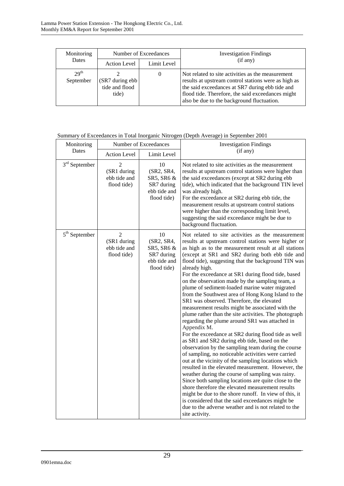| Monitoring                    | Number of Exceedances                      |             | <b>Investigation Findings</b>                                                                                                                                                                                                                                   |
|-------------------------------|--------------------------------------------|-------------|-----------------------------------------------------------------------------------------------------------------------------------------------------------------------------------------------------------------------------------------------------------------|
| Dates                         | <b>Action Level</b>                        | Limit Level | (if any)                                                                                                                                                                                                                                                        |
| 29 <sup>th</sup><br>September | (SR7 during ebb<br>tide and flood<br>tide) | $\theta$    | Not related to site activities as the measurement<br>results at upstream control stations were as high as<br>the said exceedances at SR7 during ebb tide and<br>flood tide. Therefore, the said exceedances might<br>also be due to the background fluctuation. |

| Monitoring      | Number of Exceedances                                        |                                                                             | <b>Investigation Findings</b>                                                                                                                                                                                                                                                                                                                                                                                                                                                                                                                                                                                                                                                                                                                                                                                                                                                                                                                                                                                                                                                                                                                                                                                                                                                                                                                                                                                                  |
|-----------------|--------------------------------------------------------------|-----------------------------------------------------------------------------|--------------------------------------------------------------------------------------------------------------------------------------------------------------------------------------------------------------------------------------------------------------------------------------------------------------------------------------------------------------------------------------------------------------------------------------------------------------------------------------------------------------------------------------------------------------------------------------------------------------------------------------------------------------------------------------------------------------------------------------------------------------------------------------------------------------------------------------------------------------------------------------------------------------------------------------------------------------------------------------------------------------------------------------------------------------------------------------------------------------------------------------------------------------------------------------------------------------------------------------------------------------------------------------------------------------------------------------------------------------------------------------------------------------------------------|
| Dates           | <b>Action Level</b>                                          | Limit Level                                                                 | (if any)                                                                                                                                                                                                                                                                                                                                                                                                                                                                                                                                                                                                                                                                                                                                                                                                                                                                                                                                                                                                                                                                                                                                                                                                                                                                                                                                                                                                                       |
| $3rd$ September | $\overline{2}$<br>(SR1 during<br>ebb tide and<br>flood tide) | 10<br>(SR2, SR4,<br>SR5, SR6 &<br>SR7 during<br>ebb tide and<br>flood tide) | Not related to site activities as the measurement<br>results at upstream control stations were higher than<br>the said exceedances (except at SR2 during ebb<br>tide), which indicated that the background TIN level<br>was already high.<br>For the exceedance at SR2 during ebb tide, the<br>measurement results at upstream control stations<br>were higher than the corresponding limit level,<br>suggesting the said exceedance might be due to<br>background fluctuation.                                                                                                                                                                                                                                                                                                                                                                                                                                                                                                                                                                                                                                                                                                                                                                                                                                                                                                                                                |
| $5th$ September | $\overline{2}$<br>(SR1 during<br>ebb tide and<br>flood tide) | 10<br>(SR2, SR4,<br>SR5, SR6 &<br>SR7 during<br>ebb tide and<br>flood tide) | Not related to site activities as the measurement<br>results at upstream control stations were higher or<br>as high as to the measurement result at all stations<br>(except at SR1 and SR2 during both ebb tide and<br>flood tide), suggesting that the background TIN was<br>already high.<br>For the exceedance at SR1 during flood tide, based<br>on the observation made by the sampling team, a<br>plume of sediment-loaded marine water migrated<br>from the Southwest area of Hong Kong Island to the<br>SR1 was observed. Therefore, the elevated<br>measurement results might be associated with the<br>plume rather than the site activities. The photograph<br>regarding the plume around SR1 was attached in<br>Appendix M.<br>For the exceedance at SR2 during flood tide as well<br>as SR1 and SR2 during ebb tide, based on the<br>observation by the sampling team during the course<br>of sampling, no noticeable activities were carried<br>out at the vicinity of the sampling locations which<br>resulted in the elevated measurement. However, the<br>weather during the course of sampling was rainy.<br>Since both sampling locations are quite close to the<br>shore therefore the elevated measurement results<br>might be due to the shore runoff. In view of this, it<br>is considered that the said exceedances might be<br>due to the adverse weather and is not related to the<br>site activity. |

# Summary of Exceedances in Total Inorganic Nitrogen (Depth Average) in September 2001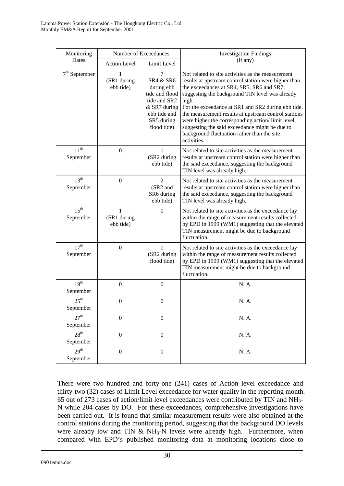| Monitoring                    | Number of Exceedances         |                                                                                                                                        | <b>Investigation Findings</b>                                                                                                                                                                                                                                                                                                                                                                                                                                                                         |  |
|-------------------------------|-------------------------------|----------------------------------------------------------------------------------------------------------------------------------------|-------------------------------------------------------------------------------------------------------------------------------------------------------------------------------------------------------------------------------------------------------------------------------------------------------------------------------------------------------------------------------------------------------------------------------------------------------------------------------------------------------|--|
| Dates                         | <b>Action Level</b>           | Limit Level                                                                                                                            | (if any)                                                                                                                                                                                                                                                                                                                                                                                                                                                                                              |  |
| $7th$ September               | 1<br>(SR1 during<br>ebb tide) | 7<br><b>SR4 &amp; SR6</b><br>during ebb<br>tide and flood<br>tide and SR2<br>& SR7 during<br>ebb tide and<br>SR5 during<br>flood tide) | Not related to site activities as the measurement<br>results at upstream control station were higher than<br>the exceedances at SR4, SR5, SR6 and SR7,<br>suggesting the background TIN level was already<br>high.<br>For the exceedance at SR1 and SR2 during ebb tide,<br>the measurement results at upstream control stations<br>were higher the corresponding action/limit level,<br>suggesting the said exceedance might be due to<br>background fluctuation rather than the site<br>activities. |  |
| $11^{th}$<br>September        | $\boldsymbol{0}$              | $\mathbf{1}$<br>(SR2 during<br>ebb tide)                                                                                               | Not related to site activities as the measurement<br>results at upstream control station were higher than<br>the said exceedance, suggesting the background<br>TIN level was already high.                                                                                                                                                                                                                                                                                                            |  |
| 13 <sup>th</sup><br>September | $\boldsymbol{0}$              | $\overline{2}$<br>(SR2 and<br>SR6 during<br>ebb tide)                                                                                  | Not related to site activities as the measurement<br>results at upstream control station were higher than<br>the said exceedance, suggesting the background<br>TIN level was already high.                                                                                                                                                                                                                                                                                                            |  |
| 15 <sup>th</sup><br>September | 1<br>(SR1 during<br>ebb tide) | $\theta$                                                                                                                               | Not related to site activities as the exceedance lay<br>within the range of measurement results collected<br>by EPD in 1999 (WM1) suggesting that the elevated<br>TIN measurement might be due to background<br>fluctuation.                                                                                                                                                                                                                                                                          |  |
| 17 <sup>th</sup><br>September | $\boldsymbol{0}$              | $\mathbf{1}$<br>(SR2 during<br>flood tide)                                                                                             | Not related to site activities as the exceedance lay<br>within the range of measurement results collected<br>by EPD in 1999 (WM1) suggesting that the elevated<br>TIN measurement might be due to background<br>fluctuation.                                                                                                                                                                                                                                                                          |  |
| 19 <sup>th</sup><br>September | $\boldsymbol{0}$              | $\overline{0}$                                                                                                                         | N. A.                                                                                                                                                                                                                                                                                                                                                                                                                                                                                                 |  |
| $25^{\text{th}}$<br>September | $\boldsymbol{0}$              | $\boldsymbol{0}$                                                                                                                       | N. A.                                                                                                                                                                                                                                                                                                                                                                                                                                                                                                 |  |
| 27 <sup>th</sup><br>September | $\mathbf{0}$                  | $\boldsymbol{0}$                                                                                                                       | N. A.                                                                                                                                                                                                                                                                                                                                                                                                                                                                                                 |  |
| 28 <sup>th</sup><br>September | $\boldsymbol{0}$              | $\boldsymbol{0}$                                                                                                                       | N. A.                                                                                                                                                                                                                                                                                                                                                                                                                                                                                                 |  |
| 29 <sup>th</sup><br>September | $\boldsymbol{0}$              | $\boldsymbol{0}$                                                                                                                       | N. A.                                                                                                                                                                                                                                                                                                                                                                                                                                                                                                 |  |

There were two hundred and forty-one (241) cases of Action level exceedance and thirty-two (32) cases of Limit Level exceedance for water quality in the reporting month. 65 out of 273 cases of action/limit level exceedances were contributed by TIN and NH3- N while 204 cases by DO. For these exceedances, comprehensive investigations have been carried out. It is found that similar measurement results were also obtained at the control stations during the monitoring period, suggesting that the background DO levels were already low and TIN  $& NH_3-N$  levels were already high. Furthermore, when compared with EPD's published monitoring data at monitoring locations close to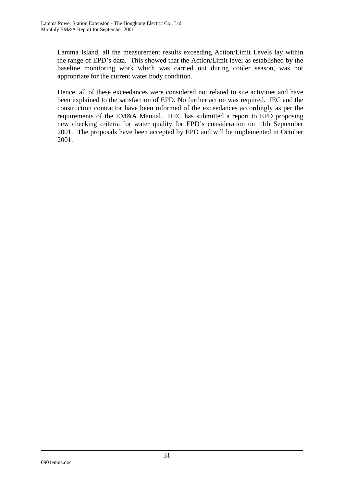Lamma Island, all the measurement results exceeding Action/Limit Levels lay within the range of EPD's data. This showed that the Action/Limit level as established by the baseline monitoring work which was carried out during cooler season, was not appropriate for the current water body condition.

Hence, all of these exceedances were considered not related to site activities and have been explained to the satisfaction of EPD. No further action was required. IEC and the construction contractor have been informed of the exceedances accordingly as per the requirements of the EM&A Manual. HEC has submitted a report to EPD proposing new checking criteria for water quality for EPD's consideration on 11th September 2001. The proposals have been accepted by EPD and will be implemented in October 2001.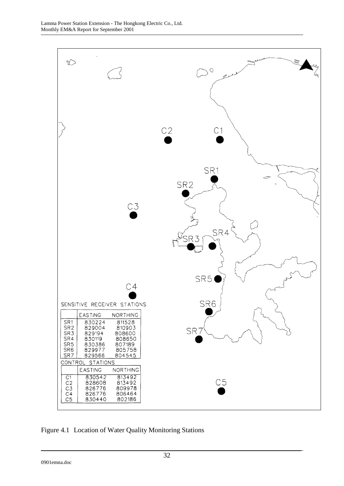

Figure 4.1 Location of Water Quality Monitoring Stations

0901emna.doc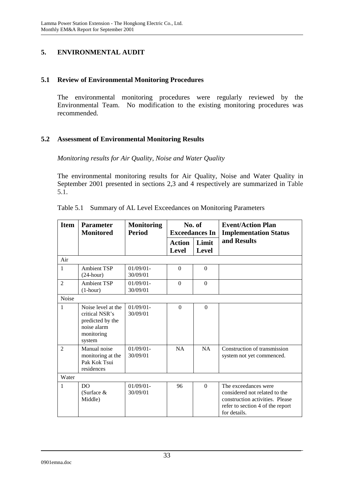## **5. ENVIRONMENTAL AUDIT**

#### **5.1 Review of Environmental Monitoring Procedures**

The environmental monitoring procedures were regularly reviewed by the Environmental Team. No modification to the existing monitoring procedures was recommended.

## **5.2 Assessment of Environmental Monitoring Results**

#### *Monitoring results for Air Quality, Noise and Water Quality*

The environmental monitoring results for Air Quality, Noise and Water Quality in September 2001 presented in sections 2,3 and 4 respectively are summarized in Table 5.1.

| <b>Item</b>    | <b>Parameter</b><br><b>Monitored</b>                                                            | <b>Monitoring</b><br><b>Period</b> | No. of<br><b>Exceedances In</b> |                       | <b>Event/Action Plan</b><br><b>Implementation Status</b>                                                                                     |
|----------------|-------------------------------------------------------------------------------------------------|------------------------------------|---------------------------------|-----------------------|----------------------------------------------------------------------------------------------------------------------------------------------|
|                |                                                                                                 |                                    | <b>Action</b><br><b>Level</b>   | Limit<br><b>Level</b> | and Results                                                                                                                                  |
| Air            |                                                                                                 |                                    |                                 |                       |                                                                                                                                              |
| 1              | <b>Ambient TSP</b><br>$(24$ -hour)                                                              | $01/09/01 -$<br>30/09/01           | $\Omega$                        | $\Omega$              |                                                                                                                                              |
| $\overline{2}$ | <b>Ambient TSP</b><br>$(1-hour)$                                                                | $01/09/01 -$<br>30/09/01           | $\Omega$                        | $\overline{0}$        |                                                                                                                                              |
| Noise          |                                                                                                 |                                    |                                 |                       |                                                                                                                                              |
| 1              | Noise level at the<br>critical NSR's<br>predicted by the<br>noise alarm<br>monitoring<br>system | $01/09/01$ -<br>30/09/01           | $\Omega$                        | $\Omega$              |                                                                                                                                              |
| $\overline{2}$ | Manual noise<br>monitoring at the<br>Pak Kok Tsui<br>residences                                 | $01/09/01$ -<br>30/09/01           | <b>NA</b>                       | <b>NA</b>             | Construction of transmission<br>system not yet commenced.                                                                                    |
| Water          |                                                                                                 |                                    |                                 |                       |                                                                                                                                              |
| $\mathbf{1}$   | D <sub>O</sub><br>(Surface &<br>Middle)                                                         | $01/09/01 -$<br>30/09/01           | 96                              | $\Omega$              | The exceedances were<br>considered not related to the<br>construction activities. Please<br>refer to section 4 of the report<br>for details. |

|  |  | Table 5.1 Summary of AL Level Exceedances on Monitoring Parameters |  |
|--|--|--------------------------------------------------------------------|--|
|  |  |                                                                    |  |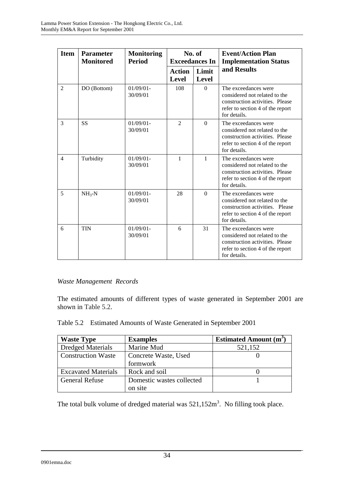| <b>Item</b>    | <b>Parameter</b><br><b>Monitored</b> | <b>Monitoring</b><br><b>Period</b> | No. of<br><b>Exceedances In</b> |                       | <b>Event/Action Plan</b><br><b>Implementation Status</b>                                                                                     |  |
|----------------|--------------------------------------|------------------------------------|---------------------------------|-----------------------|----------------------------------------------------------------------------------------------------------------------------------------------|--|
|                |                                      |                                    | <b>Action</b><br><b>Level</b>   | Limit<br><b>Level</b> | and Results                                                                                                                                  |  |
| $\overline{2}$ | DO (Bottom)                          | $01/09/01$ -<br>30/09/01           | 108                             | $\Omega$              | The exceedances were<br>considered not related to the<br>construction activities. Please<br>refer to section 4 of the report<br>for details. |  |
| 3              | <b>SS</b>                            | $01/09/01 -$<br>30/09/01           | $\overline{2}$                  | $\Omega$              | The exceedances were<br>considered not related to the<br>construction activities. Please<br>refer to section 4 of the report<br>for details. |  |
| $\overline{4}$ | Turbidity                            | $01/09/01$ -<br>30/09/01           | $\mathbf{1}$                    | 1                     | The exceedances were<br>considered not related to the<br>construction activities. Please<br>refer to section 4 of the report<br>for details. |  |
| $\overline{5}$ | $NH_{3}-N$                           | $01/09/01 -$<br>30/09/01           | 28                              | $\Omega$              | The exceedances were<br>considered not related to the<br>construction activities. Please<br>refer to section 4 of the report<br>for details. |  |
| 6              | <b>TIN</b>                           | $01/09/01$ -<br>30/09/01           | 6                               | 31                    | The exceedances were<br>considered not related to the<br>construction activities. Please<br>refer to section 4 of the report<br>for details. |  |

# *Waste Management Records*

The estimated amounts of different types of waste generated in September 2001 are shown in Table 5.2.

| Table 5.2 Estimated Amounts of Waste Generated in September 2001 |  |  |
|------------------------------------------------------------------|--|--|
|                                                                  |  |  |

| <b>Waste Type</b>                                 | <b>Examples</b>           | <b>Estimated Amount (m<sup>3</sup>)</b> |
|---------------------------------------------------|---------------------------|-----------------------------------------|
| <b>Dredged Materials</b>                          | Marine Mud                | 521,152                                 |
| <b>Construction Waste</b><br>Concrete Waste, Used |                           |                                         |
|                                                   | formwork                  |                                         |
| <b>Excavated Materials</b>                        | Rock and soil             |                                         |
| <b>General Refuse</b>                             | Domestic wastes collected |                                         |
|                                                   | on site                   |                                         |

The total bulk volume of dredged material was  $521,152m^3$ . No filling took place.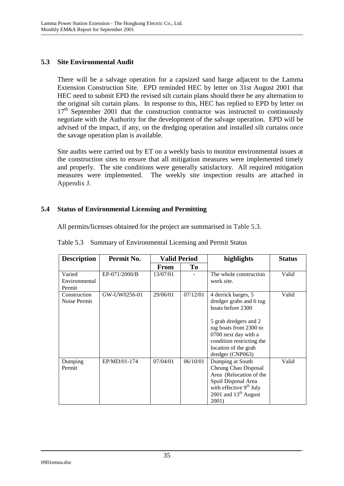## **5.3 Site Environmental Audit**

There will be a salvage operation for a capsized sand barge adjacent to the Lamma Extension Construction Site. EPD reminded HEC by letter on 31st August 2001 that HEC need to submit EPD the revised silt curtain plans should there be any alternation to the original silt curtain plans. In response to this, HEC has replied to EPD by letter on  $17<sup>th</sup>$  September 2001 that the construction contractor was instructed to continuously negotiate with the Authority for the development of the salvage operation. EPD will be advised of the impact, if any, on the dredging operation and installed silt curtains once the savage operation plan is available*.*

Site audits were carried out by ET on a weekly basis to monitor environmental issues at the construction sites to ensure that all mitigation measures were implemented timely and properly. The site conditions were generally satisfactory. All required mitigation measures were implemented. The weekly site inspection results are attached in Appendix J.

# **5.4 Status of Environmental Licensing and Permitting**

All permits/licenses obtained for the project are summarised in Table 5.3.

| <b>Description</b>                | Permit No.    | <b>Valid Period</b> |          | highlights                                                                                                                                                                                                              | <b>Status</b> |
|-----------------------------------|---------------|---------------------|----------|-------------------------------------------------------------------------------------------------------------------------------------------------------------------------------------------------------------------------|---------------|
|                                   |               | From                | To       |                                                                                                                                                                                                                         |               |
| Varied<br>Environmental<br>Permit | EP-071/2000/B | 13/07/01            |          | The whole construction<br>work site.                                                                                                                                                                                    | Valid         |
| Construction<br>Noise Permit      | GW-UW0256-01  | 29/06/01            | 07/12/01 | 4 derrick barges, 5<br>dredger grabs and 6 tug<br>boats before 2300<br>5 grab dredgers and 2<br>tug boats from 2300 to<br>0700 next day with a<br>condition restricting the<br>location of the grab<br>dredger (CNP063) | Valid         |
| Dumping<br>Permit                 | EP/MD/01-174  | 07/04/01            | 06/10/01 | Dumping at South<br>Cheung Chau Disposal<br>Area (Relocation of the<br>Spoil Disposal Area<br>with effective 9 <sup>th</sup> July<br>2001 and $13th$ August<br>2001)                                                    | Valid         |

Table 5.3 Summary of Environmental Licensing and Permit Status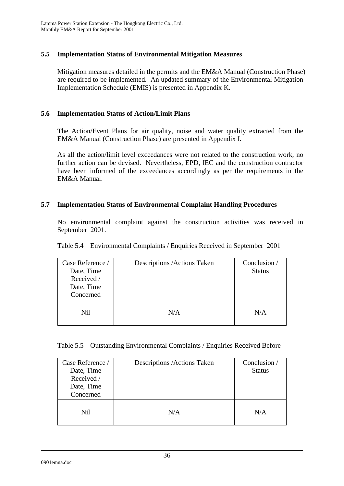## **5.5 Implementation Status of Environmental Mitigation Measures**

Mitigation measures detailed in the permits and the EM&A Manual (Construction Phase) are required to be implemented. An updated summary of the Environmental Mitigation Implementation Schedule (EMIS) is presented in Appendix K.

## **5.6 Implementation Status of Action/Limit Plans**

The Action/Event Plans for air quality, noise and water quality extracted from the EM&A Manual (Construction Phase) are presented in Appendix I.

As all the action/limit level exceedances were not related to the construction work, no further action can be devised. Nevertheless, EPD, IEC and the construction contractor have been informed of the exceedances accordingly as per the requirements in the EM&A Manual.

## **5.7 Implementation Status of Environmental Complaint Handling Procedures**

No environmental complaint against the construction activities was received in September 2001.

| Case Reference /<br>Date, Time<br>Received /<br>Date, Time<br>Concerned | Descriptions / Actions Taken | Conclusion /<br><b>Status</b> |
|-------------------------------------------------------------------------|------------------------------|-------------------------------|
| Nil                                                                     | N/A                          | N/A                           |

Table 5.4 Environmental Complaints / Enquiries Received in September 2001

| Case Reference /<br>Date, Time<br>Received /<br>Date, Time<br>Concerned | Descriptions / Actions Taken | Conclusion /<br><b>Status</b> |
|-------------------------------------------------------------------------|------------------------------|-------------------------------|
| Nil                                                                     | N/A                          | N/A                           |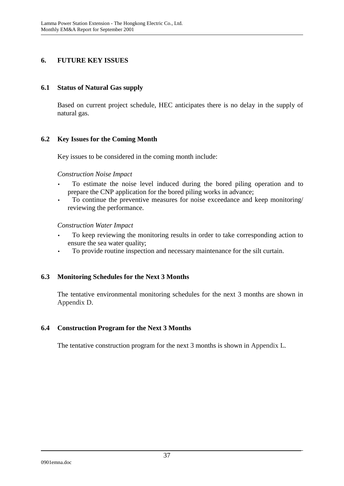## **6. FUTURE KEY ISSUES**

#### **6.1 Status of Natural Gas supply**

Based on current project schedule, HEC anticipates there is no delay in the supply of natural gas.

#### **6.2 Key Issues for the Coming Month**

Key issues to be considered in the coming month include:

#### *Construction Noise Impact*

- To estimate the noise level induced during the bored piling operation and to prepare the CNP application for the bored piling works in advance;
- To continue the preventive measures for noise exceedance and keep monitoring/ reviewing the performance.

#### *Construction Water Impact*

- To keep reviewing the monitoring results in order to take corresponding action to ensure the sea water quality;
- To provide routine inspection and necessary maintenance for the silt curtain.

#### **6.3 Monitoring Schedules for the Next 3 Months**

The tentative environmental monitoring schedules for the next 3 months are shown in Appendix D.

#### **6.4 Construction Program for the Next 3 Months**

The tentative construction program for the next 3 months is shown in Appendix L.